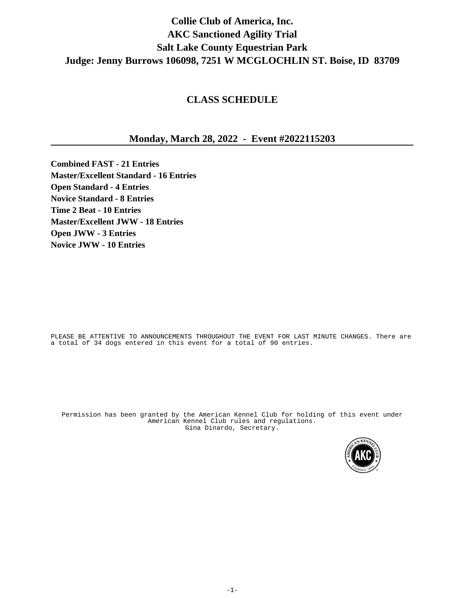# **Collie Club of America, Inc. AKC Sanctioned Agility Trial Salt Lake County Equestrian Park Judge: Jenny Burrows 106098, 7251 W MCGLOCHLIN ST. Boise, ID 83709**

# **CLASS SCHEDULE**

# **Monday, March 28, 2022 - Event #2022115203**

**Combined FAST - 21 Entries Master/Excellent Standard - 16 Entries Open Standard - 4 Entries Novice Standard - 8 Entries Time 2 Beat - 10 Entries Master/Excellent JWW - 18 Entries Open JWW - 3 Entries Novice JWW - 10 Entries**

PLEASE BE ATTENTIVE TO ANNOUNCEMENTS THROUGHOUT THE EVENT FOR LAST MINUTE CHANGES. There are a total of 34 dogs entered in this event for a total of 90 entries.

Permission has been granted by the American Kennel Club for holding of this event under American Kennel Club rules and regulations. Gina Dinardo, Secretary.

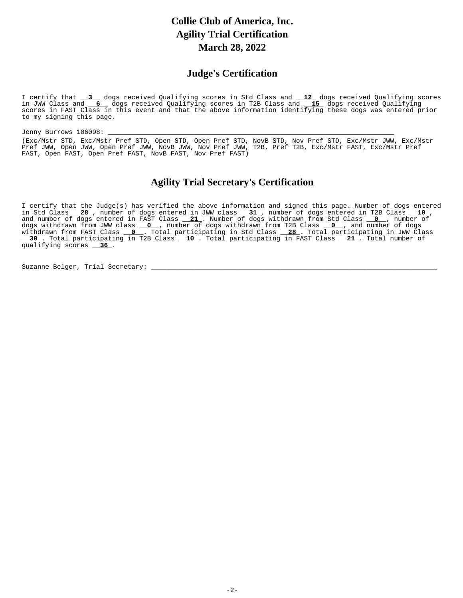# **Collie Club of America, Inc. Agility Trial Certification March 28, 2022**

## **Judge's Certification**

I certify that \_\_\_\_\_\_\_ dogs received Qualifying scores in Std Class and \_\_\_\_\_\_\_\_\_ dogs received Qualifying scores in JWW Class and \_\_6\_\_ dogs received Qualifying scores in T2B Class and \_\_15\_ dogs received Qualifying scores in FAST Class in this event and that the above information identifying these dogs was entered prior to my signing this page.  I certify that **3** dogs received Oualifying scores in Std Class and **12** in JWW Class and **6** dogs received Oualifving scores in T2B Class and **15** 

Jenny Burrows 106098: \_ (Exc/Mstr STD, Exc/Mstr Pref STD, Open STD, Open Pref STD, NovB STD, Nov Pref STD, Exc/Mstr JWW, Exc/Mstr Pref JWW, Open JWW, Open Pref JWW, NovB JWW, Nov Pref JWW, T2B, Pref T2B, Exc/Mstr FAST, Exc/Mstr Pref FAST, Open FAST, Open Pref FAST, NovB FAST, Nov Pref FAST)

# **Agility Trial Secretary's Certification**

I certify that the Judge(s) has verified the above information and signed this page. Number of dogs entered in Std Class \_\_<mark>28</mark> , number of dogs entered in JWW class \_\_<u>31 ,</u> number of dogs entered in T2B Class \_\_<u>10</u> , and number of dogs entered in FAST Class \_\_ **21** . Number of dogs withdrawn from Std Class \_\_ **0** \_, number of dogs withdrawn from JWW class \_\_**O**\_\_, number of dogs withdrawn from T2B Class \_\_<mark>O</mark>\_\_, and number of dogs withdrawn from FAST Class \_\_**O\_\_.** Total participating in Std Class \_\_**28** . Total participating in JWW Class \_\_\_30\_. Total participating in T2B Class \_\_\_10\_. Total participating in FAST Class \_\_\_21\_. Total number of qualifying scores <u>\_\_\_ 36</u> . in Std Class 28 , number of dogs entered in JWW class 31 , number of dogs entered in T2B Class 10 and number of dogs entered in FAST Class **21** . Number of dogs withdrawn from Std Class **0** dogs withdrawn from JWW class **0** , number of dogs withdrawn from T2B Class **0** withdrawn from FAST Class **0** . Total participating in Std Class **28 30** . Total participating in T2B Class **10** . Total participating in FAST Class **21** 

Suzanne Belger, Trial Secretary: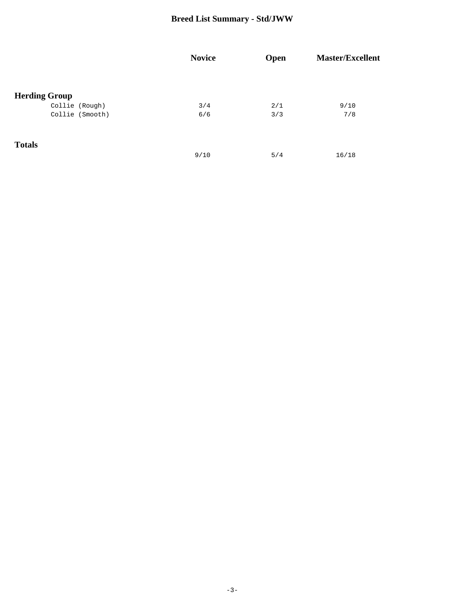# **Breed List Summary - Std/JWW**

|                      | <b>Novice</b> | Open | <b>Master/Excellent</b> |
|----------------------|---------------|------|-------------------------|
|                      |               |      |                         |
| <b>Herding Group</b> |               |      |                         |
| Collie (Rough)       | 3/4           | 2/1  | 9/10                    |
| Collie (Smooth)      | 6/6           | 3/3  | 7/8                     |
| <b>Totals</b>        |               |      |                         |
|                      | 9/10          | 5/4  | 16/18                   |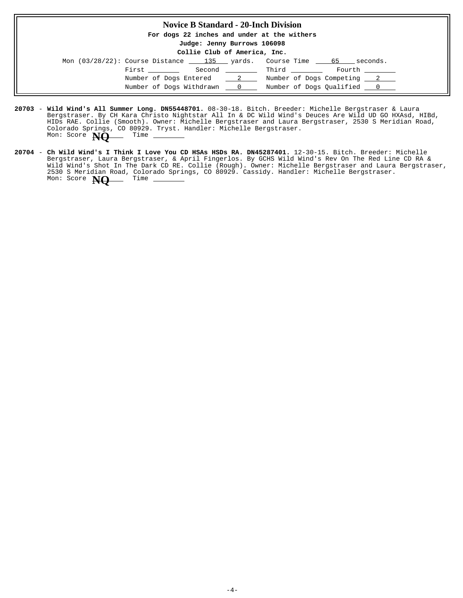#### **Novice B Standard - 20-Inch Division**

**For dogs 22 inches and under at the withers**

**Judge: Jenny Burrows 106098**

**Collie Club of America, Inc.**

| Mon $(03/28/22)$ : Course Distance $\qquad 135$ yards. Course Time $\qquad 65$ |  |              | seconds.                   |  |
|--------------------------------------------------------------------------------|--|--------------|----------------------------|--|
| First ______                                                                   |  | Second Third | Fourth                     |  |
| Number of Dogs Entered 2                                                       |  |              | Number of Dogs Competing 2 |  |
| Number of Dogs Withdrawn 0                                                     |  |              | Number of Dogs Qualified 0 |  |

- 20703 Wil**d Wind's All Summer Long. DN55448701.** 08-30-18. Bitch. Breeder: Michelle Bergstraser & Laura Bergstraser. By CH Kara Christo Nightstar All In & DC Wild Wind's Deuces Are Wild UD GO HXAsd, HIBd, HIDs RAE. Collie (Smooth). Owner: Michelle Bergstraser and Laura Bergstraser, 2530 S Meridian Road, Colorado Springs, CO 80929. Tryst. Handler: Michelle Bergstraser. Mon: Score **NO** Time -
- 20704 Ch Wild Wind's I Think I Love You CD HSAs HSDs RA. DN45287401. 12-30-15. Bitch. Breeder: Michelle Bergstraser, Laura Bergstraser, & April Fingerlos. By GCHS Wild Wind's Rev On The Red Line CD RA & Wild Wind's Shot In The Dark CD RE. Collie (Rough). Owner: Michelle Bergstraser and Laura Bergstraser, 2530 S Meridian Road, Colorado Springs, CO 80929. Cassidy. Handler: Michelle Bergstraser. Mon: Score **NQ** Time -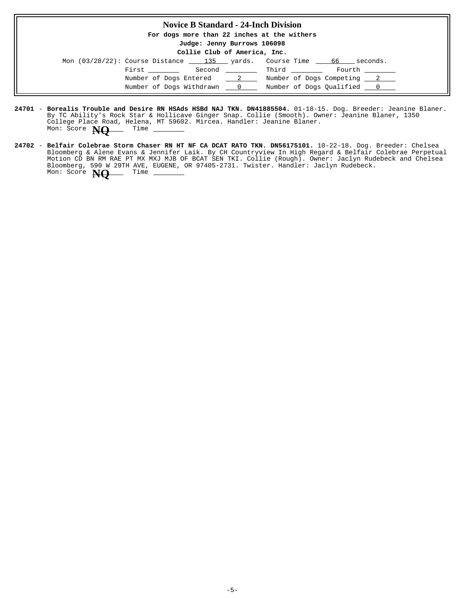#### **Novice B Standard - 24-Inch Division**

**For dogs more than 22 inches at the withers**

**Judge: Jenny Burrows 106098**

**Collie Club of America, Inc.**

| Mon $(03/28/22)$ : Course Distance $\_\_$ 135 $\_\$ yards. Course Time $\_\_$ |                                                                                                                                                                                                                                 |  |                            | 66<br>seconds. |  |
|-------------------------------------------------------------------------------|---------------------------------------------------------------------------------------------------------------------------------------------------------------------------------------------------------------------------------|--|----------------------------|----------------|--|
|                                                                               | First the state of the state of the state of the state of the state of the state of the state of the state of the state of the state of the state of the state of the state of the state of the state of the state of the state |  |                            |                |  |
|                                                                               | Number of Dogs Entered 2                                                                                                                                                                                                        |  | Number of Dogs Competing 2 |                |  |
|                                                                               | Number of Dogs Withdrawn ___ 0                                                                                                                                                                                                  |  | Number of Dogs Oualified 0 |                |  |

- **24701 Borealis Trouble and Desire RN HSAds HSBd NAJ TKN. DN41885504.** 01-18-15. Dog. Breeder: Jeanine Blaner. By TC Ability's Rock Star & Hollicave Ginger Snap. Collie (Smooth). Owner: Jeanine Blaner, 1350 College Place Road, Helena, MT 59602. Mircea. Handler: Jeanine Blaner. Mon: Score **NQ** Time
- **24702 Belfair Colebrae Storm Chaser RN HT NF CA DCAT RATO TKN. DN56175101.** 10-22-18. Dog. Breeder: Chelsea Bloomberg & Alene Evans & Jennifer Laik. By CH Countryview In High Regard & Belfair Colebrae Perpetual Motion CD BN RM RAE PT MX MXJ MJB OF BCAT SEN TKI. Collie (Rough). Owner: Jaclyn Rudebeck and Chelsea Bloomberg, 590 W 29TH AVE, EUGENE, OR 97405-2731. Twister. Handler: Jaclyn Rudebeck. Mon: Score **NQ** Time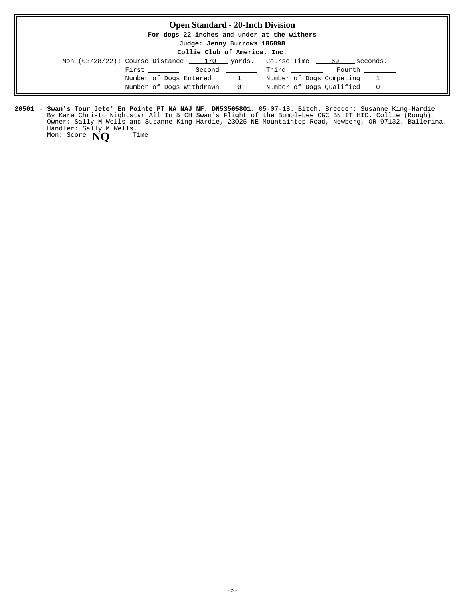### **Open Standard - 20-Inch Division**

**For dogs 22 inches and under at the withers**

**Judge: Jenny Burrows 106098**

**Collie Club of America, Inc.**

| Mon (03/28/22): Course Distance 170 vards. Course Time 69 |                                                | seconds.                               |
|-----------------------------------------------------------|------------------------------------------------|----------------------------------------|
| First                                                     | Second                                         | <b>Example 1</b> Third Third<br>Fourth |
| Number of Dogs Entered                                    | $\mathbf{L}$ and $\mathbf{L}$ and $\mathbf{L}$ | Number of Dogs Competing 1             |
| Number of Dogs Withdrawn                                  | $\sim$ 0                                       | Number of Dogs Oualified 0             |

**20501 - Swan's Tour Jete' En Pointe PT NA NAJ NF. DN53565801.** 05-07-18. Bitch. Breeder: Susanne King-Hardie. By Kara Christo Nightstar All In & CH Swan's Flight of the Bumblebee CGC BN IT HIC. Collie (Rough). Owner: Sally M Wells and Susanne King-Hardie, 23025 NE Mountaintop Road, Newberg, OR 97132. Ballerina. Handler: Sally M Wells.<br>Mon: Score **NO** Time Mon: Score **NQ**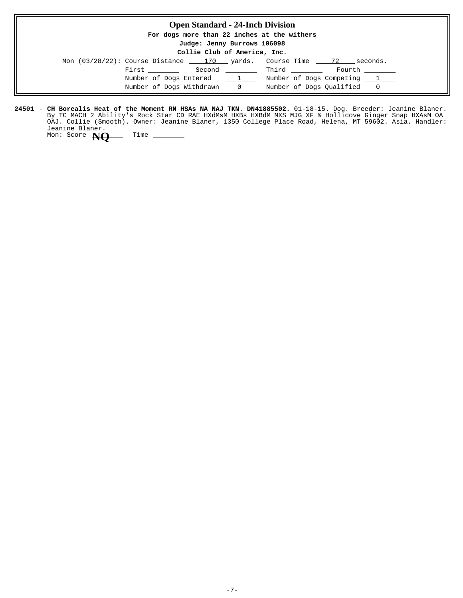| <b>Open Standard - 24-Inch Division</b>     |                                                                        |
|---------------------------------------------|------------------------------------------------------------------------|
| For dogs more than 22 inches at the withers |                                                                        |
| Judge: Jenny Burrows 106098                 |                                                                        |
| Collie Club of America, Inc.                |                                                                        |
|                                             | Mon $(03/28/22)$ : Course Distance 170 yards. Course Time 72 seconds.  |
|                                             |                                                                        |
|                                             | Number of Dogs Entered 1 Number of Dogs Competing 1                    |
|                                             | Number of Dogs Withdrawn ___ 0 ____ Number of Dogs Qualified ___ 0 ___ |

**24501 - CH Borealis Heat of the Moment RN HSAs NA NAJ TKN. DN41885502.** 01-18-15. Dog. Breeder: Jeanine Blaner. By TC MACH 2 Ability's Rock Star CD RAE HXdMsM HXBs HXBdM MXS MJG XF & Hollicove Ginger Snap HXAsM OA OAJ. Collie (Smooth). Owner: Jeanine Blaner, 1350 College Place Road, Helena, MT 59602. Asia. Handler: Jeanine Blaner. **CH Borealis Heat of the Moment RN HSAs NA NAJ TKN. DN41885502.** Mon: Score **NQ** Time \_\_\_\_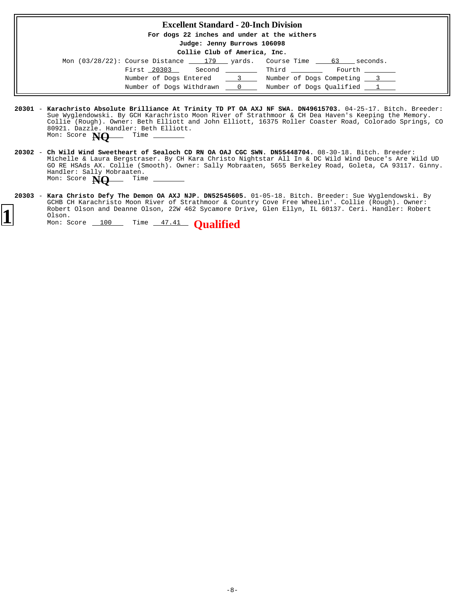#### **Excellent Standard - 20-Inch Division**

**For dogs 22 inches and under at the withers**

**Judge: Jenny Burrows 106098**

| Mon (03/28/22): Course Distance 179 yards. Course Time |        |                |       | seconds.<br>63             |  |
|--------------------------------------------------------|--------|----------------|-------|----------------------------|--|
| First 20303                                            | Second |                | Third | Fourth                     |  |
| Number of Dogs Entered                                 |        | $\sim$ 3       |       | Number of Dogs Competing 3 |  |
| Number of Dogs Withdrawn                               |        | $\overline{0}$ |       | Number of Dogs Qualified 1 |  |

- **20301** 04-25-17. Bitch. Breeder: **Karachristo Absolute Brilliance At Trinity TD PT OA AXJ NF SWA. DN49615703.** Sue Wyglendowski. By GCH Karachristo Moon River of Strathmoor & CH Dea Haven's Keeping the Memory. Collie (Rough). Owner: Beth Elliott and John Elliott, 16375 Roller Coaster Road, Colorado Springs, CO 80921. Dazzle. Handler: Beth Elliott. Mon: Score **NO** Time -
- 20302 Ch Wild Wind Sweetheart of Sealoch CD RN OA OAJ CGC SWN. DN55448704. 08-30-18. Bitch. Breeder: Michelle & Laura Bergstraser. By CH Kara Christo Nightstar All In & DC Wild Wind Deuce's Are Wild UD GO RE HSAds AX. Collie (Smooth). Owner: Sally Mobraaten, 5655 Berkeley Road, Goleta, CA 93117. Ginny. Handler: Sally Mobraaten. Mon: Score **NQ** Time
- **20303 Kara Christo Defy The Demon OA AXJ NJP. DN52545605.** 01-05-18. Bitch. Breeder: Sue Wyglendowski. By GCHB CH Karachristo Moon River of Strathmoor & Country Cove Free Wheelin'. Collie (Rough). Owner: Robert Olson and Deanne Olson, 22W 462 Sycamore Drive, Glen Ellyn, IL 60137. Ceri. Handler: Robert Olson.

**<sup>1</sup>** Mon: Score 100 Time 47.41 **Qualified**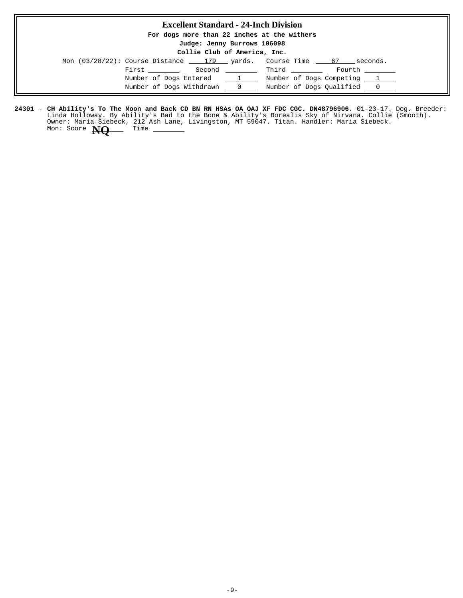### **Excellent Standard - 24-Inch Division**

**For dogs more than 22 inches at the withers**

#### **Judge: Jenny Burrows 106098 Collie Club of America, Inc.**

| COILLE CIUD OL AMELICA, INC. |                                                                  |  |                            |  |  |
|------------------------------|------------------------------------------------------------------|--|----------------------------|--|--|
|                              | Mon $(03/28/22)$ : Course Distance $179$ yards. Course Time 67 1 |  | seconds.                   |  |  |
|                              | First                                                            |  | Second Third<br>Fourth     |  |  |
|                              | Number of Dogs Entered 1                                         |  | Number of Dogs Competing 1 |  |  |
|                              | Number of Dogs Withdrawn 0                                       |  | Number of Dogs Oualified 0 |  |  |

24301 – **CH Ability's To The Moon and Back CD BN RN HSAs OA OAJ XF FDC CGC. DN48796906.** 01-23-17. Dog. Breeder: Linda Holloway. By Ability's Bad to the Bone & Ability's Borealis Sky of Nirvana. Collie (Smooth). Owner: Maria Siebeck, 212 Ash Lane, Livingston, MT 59047. Titan. Handler: Maria Siebeck. **CH Ability's To The Moon and Back CD BN RN HSAs OA OAJ XF FDC CGC. DN48796906.** Mon: Score **NQ** Time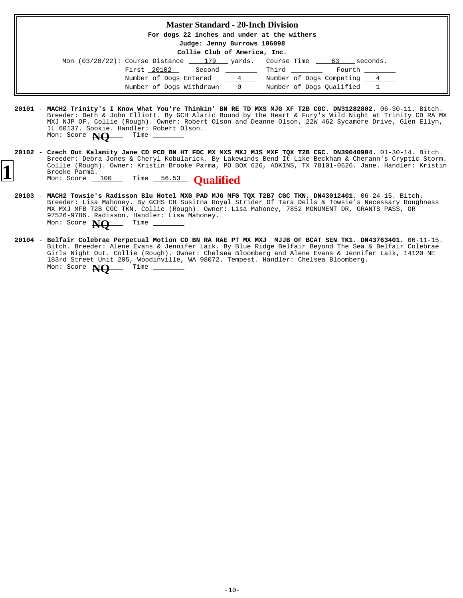### **Master Standard - 20-Inch Division**

**For dogs 22 inches and under at the withers**

**Judge: Jenny Burrows 106098**

|  |  |  | Collie Club of America, Inc. |  |
|--|--|--|------------------------------|--|
|--|--|--|------------------------------|--|

| Mon $(03/28/22)$ : Course Distance 179 yards. Course Time |        |               |                            | seconds.<br>63 |  |
|-----------------------------------------------------------|--------|---------------|----------------------------|----------------|--|
| First 20102                                               | Second |               | Third                      | Fourth         |  |
| Number of Dogs Entered                                    |        | $\frac{4}{ }$ | Number of Dogs Competing 4 |                |  |
| Number of Dogs Withdrawn 0                                |        |               | Number of Dogs Oualified 1 |                |  |

- **20101** 06-30-11. Bitch. **MACH2 Trinity's I Know What You're Thinkin' BN RE TD MXS MJG XF T2B CGC. DN31282802.** Breeder: Beth & John Elliott. By GCH Alaric Bound by the Heart & Fury's Wild Night at Trinity CD RA MX MXJ NJP OF. Collie (Rough). Owner: Robert Olson and Deanne Olson, 22W 462 Sycamore Drive, Glen Ellyn, IL 60137. Sookie. Handler: Robert Olson. Mon: Score **NO** Time
- 20102 Czech Out Kalamity Jane CD PCD BN HT FDC MX MXS MXJ MJS MXF TOX T2B CGC. DN39040904. 01-30-14. Bitch. Breeder: Debra Jones & Cheryl Kobularick. By Lakewinds Bend It Like Beckham & Cherann's Cryptic Storm. Collie (Rough). Owner: Kristin Brooke Parma, PO BOX 626, ADKINS, TX 78101-0626. Jane. Handler: Kristin Brooke Parma. **Czech Out Kalamity Jane CD PCD BN HT FDC MX MXS MXJ MJS MXF TQX T2B CGC. DN39040904. 1** Collie (Rough). Owner: Kristin Brooke Parma, PO B<br>Brooke Parma.<br>Mon: Score 100 Time 56.53 **Qualified** 
	- **20103** 06-24-15. Bitch. Breeder: Lisa Mahoney. By GCHS CH Susitna Royal Strider Of Tara Dells & Towsie's Necessary Roughness MX MXJ MFB T2B CGC TKN. Collie (Rough). Owner: Lisa Mahoney, 7852 MONUMENT DR, GRANTS PASS, OR 97526-9786. Radisson. Handler: Lisa Mahoney. **MACH2 Towsie's Radisson Blu Hotel MXG PAD MJG MFG TQX T2B7 CGC TKN. DN43012401.** Mon: Score **NO** Time -
	- **20104** 06-11-15. **Belfair Colebrae Perpetual Motion CD BN RA RAE PT MX MXJ MJJB OF BCAT SEN TK1. DN43763401.** Bitch. Breeder: Alene Evans & Jennifer Laik. By Blue Ridge Belfair Beyond The Sea & Belfair Colebrae Girls Night Out. Collie (Rough). Owner: Chelsea Bloomberg and Alene Evans & Jennifer Laik, 14120 NE 183rd Street Unit 205, Woodinville, WA 98072. Tempest. Handler: Chelsea Bloomberg. Mon: Score **NO** Time -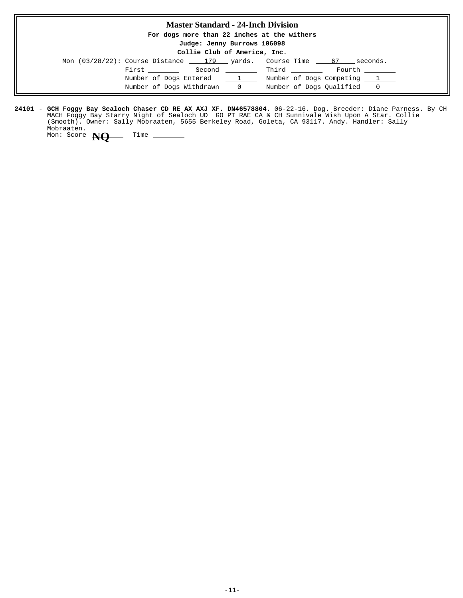## **Master Standard - 24-Inch Division For dogs more than 22 inches at the withers Judge: Jenny Burrows 106098 Collie Club of America, Inc.** Mon  $(03/28/22)$ : Course Distance  $\underline{\hspace{1cm}}$  179  $\underline{\hspace{1cm}}$  yards. Course Time  $\underline{\hspace{1cm}}$  57 seconds.  $\begin{tabular}{llllll} \multicolumn{2}{l}{{\bf First}} & \multicolumn{2}{l}{\bf Second} & \multicolumn{2}{l}{\bf{Third}} & \multicolumn{2}{l}{\bf Fourier} & \multicolumn{2}{l}{\bf Fourth} \\ \multicolumn{2}{l}{\bf{First}} & \multicolumn{2}{l}{\bf Second} & \multicolumn{2}{l}{\bf Third} & \multicolumn{2}{l}{\bf{(First)}} \\ \multicolumn{2}{l}{\bf Fourier} & \multicolumn{2}{l}{\bf (Second)} & \multicolumn{2}{l}{\bf{(First)}} \\ \multicolumn{2}{l}{\bf{Third}} & \multicolumn{2}{l}{\bf{(First)}} & \multicolumn{$ Number of Dogs Entered  $1 \t$  Number of Dogs Competing  $1 \t$ Number of Dogs Withdrawn  $\qquad 0$  Number of Dogs Qualified  $\qquad 0$

**24101 - GCH Foggy Bay Sealoch Chaser CD RE AX AXJ XF. DN46578804.** 06-22-16. Dog. Breeder: Diane Parness. By CH MACH Foggy Bay Starry Night of Sealoch UD GO PT RAE CA & CH Sunnivale Wish Upon A Star. Collie (Smooth). Owner: Sally Mobraaten, 5655 Berkeley Road, Goleta, CA 93117. Andy. Handler: Sally Mobraaten. **GCH Foggy Bay Sealoch Chaser CD RE AX AXJ XF. DN46578804.**

Mon: Score **NO** Time \_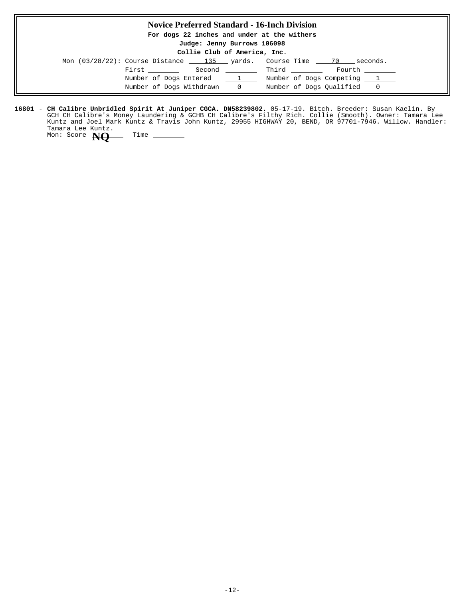## **Novice Preferred Standard - 16-Inch Division For dogs 22 inches and under at the withers Judge: Jenny Burrows 106098 Collie Club of America, Inc.** Mon  $(03/28/22)$ : Course Distance  $\underline{\hspace{1cm}}$  135 yards. Course Time  $\underline{\hspace{1cm}}$  70 seconds.  $\begin{tabular}{llllll} \multicolumn{2}{l}{{\bf First}} & \multicolumn{2}{l}{\bf Second} & \multicolumn{2}{l}{\bf{Initial}} & \multicolumn{2}{l}{\bf Fourier} & \multicolumn{2}{l}{\bf Fourth} \\ \multicolumn{2}{l}{\bf{First}} & \multicolumn{2}{l}{\bf Second} & \multicolumn{2}{l}{\bf Third} & \multicolumn{2}{l}{\bf{(i)} & \multicolumn{2}{l}{\bf Fourth} \\ \multicolumn{2}{l}{\bf(ii)} & \multicolumn{2}{l}{\bf (iv)} & \multicolumn{2}{l}{\bf (v)} & \multicolumn{2}{l}{\bf (vi)} & \multicolumn$ Number of Dogs Entered  $\qquad \qquad 1$  Number of Dogs Competing  $\qquad \qquad 1$ Number of Dogs Withdrawn  $\qquad 0$  Number of Dogs Qualified  $\qquad 0$

**16801 – CH Calibre Unbridled Spirit At Juniper CGCA. DN58239802.** 05-17-19. Bitch. Breeder: Susan Kaelin. By GCH CH Calibre's Money Laundering & GCHB CH Calibre's Filthy Rich. Collie (Smooth). Owner: Tamara Lee Kuntz and Joel Mark Kuntz & Travis John Kuntz, 29955 HIGHWAY 20, BEND, OR 97701-7946. Willow. Handler: Tamara Lee Kuntz.

Mon: Score **NO** Time -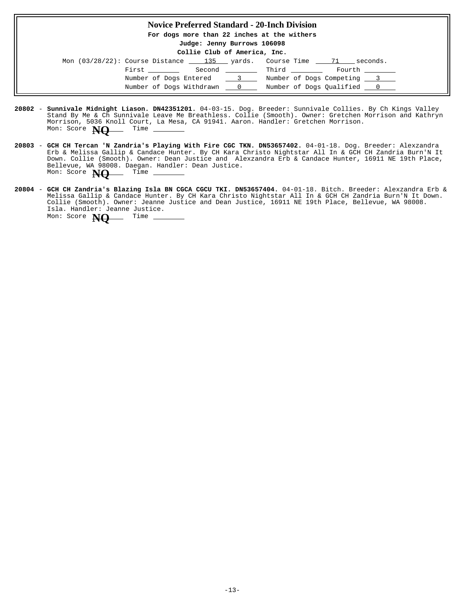### **Novice Preferred Standard - 20-Inch Division**

**For dogs more than 22 inches at the withers**

**Judge: Jenny Burrows 106098**

#### **Collie Club of America, Inc.**

| Mon $(03/28/22)$ : Course Distance 135 yards. |        |                 | Course Time 71             | seconds. |  |
|-----------------------------------------------|--------|-----------------|----------------------------|----------|--|
| First                                         | Second |                 | Third                      | Fourth   |  |
| Number of Dogs Entered                        |        | $\sim$ 3 $\sim$ | Number of Dogs Competing 3 |          |  |
| Number of Dogs Withdrawn                      |        | $\sim$ 0        | Number of Dogs Qualified 0 |          |  |

- **20802 Sunnivale Midnight Liason. DN42351201.** 04-03-15. Dog. Breeder: Sunnivale Collies. By Ch Kings Valley Stand By Me & Ch Sunnivale Leave Me Breathless. Collie (Smooth). Owner: Gretchen Morrison and Kathryn Morrison, 5036 Knoll Court, La Mesa, CA 91941. Aaron. Handler: Gretchen Morrison. Mon: Score **NQ** Time
- **20803 GCH CH Tercan 'N Zandria's Playing With Fire CGC TKN. DN53657402.** 04-01-18. Dog. Breeder: Alexzandra Erb & Melissa Gallip & Candace Hunter. By CH Kara Christo Nightstar All In & GCH CH Zandria Burn'N It Down. Collie (Smooth). Owner: Dean Justice and Alexzandra Erb & Candace Hunter, 16911 NE 19th Place, Bellevue, WA 98008. Daegan. Handler: Dean Justice.<br>Mon: Score **N**O<sub>12</sub> Time \_\_\_\_\_\_\_\_\_\_ Mon: Score **NQ**
- **20804 GCH CH Zandria's Blazing Isla BN CGCA CGCU TKI. DN53657404.** 04-01-18. Bitch. Breeder: Alexzandra Erb & Melissa Gallip & Candace Hunter. By CH Kara Christo Nightstar All In & GCH CH Zandria Burn'N It Down. Collie (Smooth). Owner: Jeanne Justice and Dean Justice, 16911 NE 19th Place, Bellevue, WA 98008. Isla. Handler: Jeanne Justice. Mon: Score **NQ** Time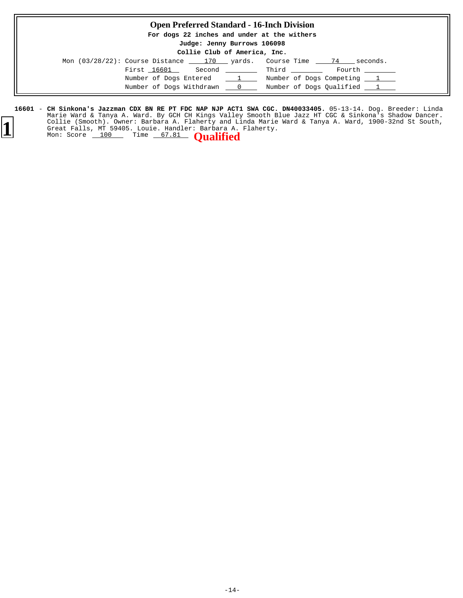### **Open Preferred Standard - 16-Inch Division**

**For dogs 22 inches and under at the withers**

**Judge: Jenny Burrows 106098**

#### **Collie Club of America, Inc.**

| Mon $(03/28/22)$ : Course Distance 170 yards. |                                  | Course Time                | 74     | seconds. |
|-----------------------------------------------|----------------------------------|----------------------------|--------|----------|
| First 16601                                   | Second                           | Third                      | Fourth |          |
| Number of Dogs Entered                        | $\frac{1}{\sqrt{1-\frac{1}{2}}}$ | Number of Dogs Competing 1 |        |          |
| Number of Dogs Withdrawn                      | $\sim$ 0                         | Number of Dogs Qualified 1 |        |          |

**16601 – CH Sinkona's Jazzman CDX BN RE PT FDC NAP NJP ACT1 SWA CGC. DN40033405.** 05-13-14. Dog. Breeder: Linda Marie Ward & Tanya A. Ward. By GCH CH Kings Valley Smooth Blue Jazz HT CGC & Sinkona's Shadow Dancer. Collie (Smooth). Owner: Barbara A. Flaherty and Linda Marie Ward & Tanya A. Ward, 1900-32nd St South, Great Falls, MT 59405. Louie. Handler: Barbara A. Flaherty. **CH Sinkona's Jazzman CDX BN RE PT FDC NAP NJP ACT1 SWA CGC. DN40033405.** Collie (Smooth). Owner: Barbara A. Flaherty and L.<br>Great Falls, MT 59405. Louie. Handler: Barbara A.<br>Mon: Score 100 Time 67.81 **Qualified**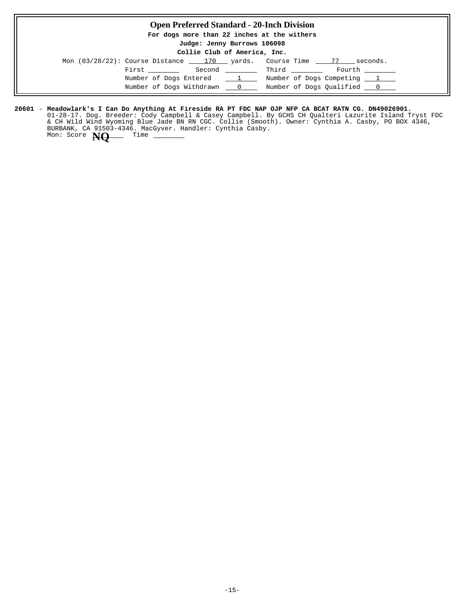### **Open Preferred Standard - 20-Inch Division**

**For dogs more than 22 inches at the withers**

**Judge: Jenny Burrows 106098**

#### **Collie Club of America, Inc.**

| Mon $(03/28/22)$ : Course Distance |        |               | 170 yards. Course Time | seconds.                   |
|------------------------------------|--------|---------------|------------------------|----------------------------|
| First                              | Second |               | Third                  | Fourth                     |
| Number of Dogs Entered             |        | $\frac{1}{2}$ |                        | Number of Dogs Competing 1 |
| Number of Dogs Withdrawn           |        | $rac{0}{2}$   |                        | Number of Dogs Oualified 0 |

#### **20601** - **Meadowlark's I Can Do Anything At Fireside RA PT FDC NAP OJP NFP CA BCAT RATN CG. DN49026901.**

01-28-17. Dog. Breeder: Cody Campbell & Casey Campbell. By GCHS CH Qualteri Lazurite Island Tryst FDC & CH Wild Wind Wyoming Blue Jade BN RN CGC. Collie (Smooth). Owner: Cynthia A. Casby, PO BOX 4346, BURBANK, CA 91503-4346. MacGyver. Handler: Cynthia Casby. Mon: Score **NO** Time \_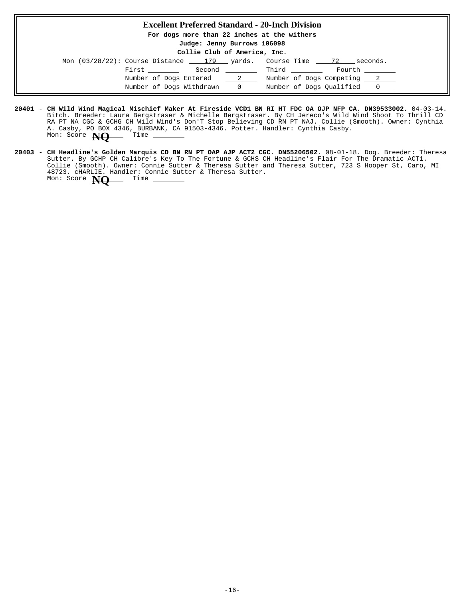#### **Excellent Preferred Standard - 20-Inch Division**

**For dogs more than 22 inches at the withers**

**Judge: Jenny Burrows 106098**

**Collie Club of America, Inc.**

| Mon (03/28/22): Course Distance 179 yards. Course Time 72 |  |              | seconds.                   |  |
|-----------------------------------------------------------|--|--------------|----------------------------|--|
| First ________                                            |  | Second Third | Fourth ________            |  |
| Number of Dogs Entered 2                                  |  |              | Number of Dogs Competing 2 |  |
| Number of Dogs Withdrawn 0                                |  |              | Number of Dogs Qualified 0 |  |

- **20401** 04-03-14. **CH Wild Wind Magical Mischief Maker At Fireside VCD1 BN RI HT FDC OA OJP NFP CA. DN39533002.** Bitch. Breeder: Laura Bergstraser & Michelle Bergstraser. By CH Jereco's Wild Wind Shoot To Thrill CD RA PT NA CGC & GCHG CH Wild Wind's Don'T Stop Believing CD RN PT NAJ. Collie (Smooth). Owner: Cynthia A. Casby, PO BOX 4346, BURBANK, CA 91503-4346. Potter. Handler: Cynthia Casby. Mon: Score **NQ** Time -
- **20403 CH Headline's Golden Marquis CD BN RN PT OAP AJP ACT2 CGC. DN55206502.** 08-01-18. Dog. Breeder: Theresa Sutter. By GCHP CH Calibre's Key To The Fortune & GCHS CH Headline's Flair For The Dramatic ACT1. Collie (Smooth). Owner: Connie Sutter & Theresa Sutter and Theresa Sutter, 723 S Hooper St, Caro, MI 48723. cHARLIE. Handler: Connie Sutter & Theresa Sutter. **CH Headline's Golden Marquis CD BN RN PT OAP AJP ACT2 CGC. DN55206502.** Mon: Score **NQ** Time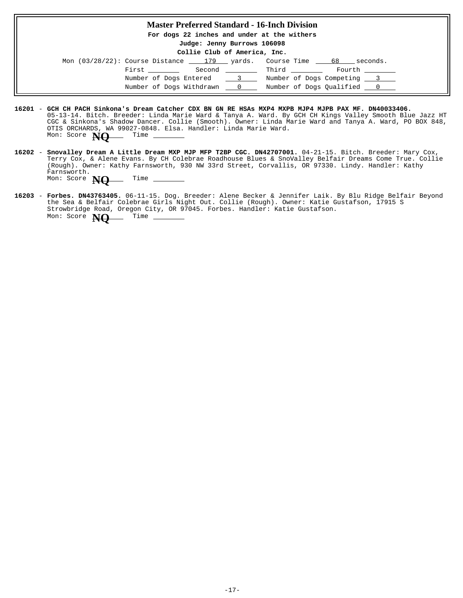## **Master Preferred Standard - 16-Inch Division For dogs 22 inches and under at the withers Judge: Jenny Burrows 106098 Collie Club of America, Inc.** Mon  $(03/28/22)$ : Course Distance  $\underline{\hspace{1cm}}$  179  $\underline{\hspace{1cm}}$  yards. Course Time  $\underline{\hspace{1cm}}$  68 seconds.  $\begin{tabular}{lllllllll} \multicolumn{2}{c|}{} & \multicolumn{2}{c|}{} & \multicolumn{2}{c|}{} & \multicolumn{2}{c|}{} & \multicolumn{2}{c|}{} & \multicolumn{2}{c|}{} & \multicolumn{2}{c|}{} & \multicolumn{2}{c|}{} & \multicolumn{2}{c|}{} & \multicolumn{2}{c|}{} & \multicolumn{2}{c|}{} & \multicolumn{2}{c|}{} & \multicolumn{2}{c|}{} & \multicolumn{2}{c|}{} & \multicolumn{2}{c|}{} & \multicolumn{2}{c|}{} & \multicolumn{2}{c|}{} & \multicolumn$ Number of Dogs Entered 3 3 Number of Dogs Competing 3 Number of Dogs Withdrawn  $\qquad 0 \qquad$  Number of Dogs Qualified  $\qquad 0 \qquad$

- **16201 GCH CH PACH Sinkona's Dream Catcher CDX BN GN RE HSAs MXP4 MXPB MJP4 MJPB PAX MF. DN40033406.** 05-13-14. Bitch. Breeder: Linda Marie Ward & Tanya A. Ward. By GCH CH Kings Valley Smooth Blue Jazz HT CGC & Sinkona's Shadow Dancer. Collie (Smooth). Owner: Linda Marie Ward and Tanya A. Ward, PO BOX 848, OTIS ORCHARDS, WA 99027-0848. Elsa. Handler: Linda Marie Ward. Mon: Score **NO** Time -
- <code>16202 Snovalley Dream A Little Dream MXP MJP MFP T2BP CGC. DN42707001.</mark> 04-21-15. Bitch. Breeder: Mary Cox,</code> Terry Cox, & Alene Evans. By CH Colebrae Roadhouse Blues & SnoValley Belfair Dreams Come True. Collie (Rough). Owner: Kathy Farnsworth, 930 NW 33rd Street, Corvallis, OR 97330. Lindy. Handler: Kathy Farnsworth. Mon: Score **NO** Time
- 16203 **Forbes. DN43763405.** 06-11-15. Dog. Breeder: Alene Becker & Jennifer Laik. By Blu Ridge Belfair Beyond the Sea & Belfair Colebrae Girls Night Out. Collie (Rough). Owner: Katie Gustafson, 17915 S Strowbridge Road, Oregon City, OR 97045. Forbes. Handler: Katie Gustafson. Mon: Score **NO** Time -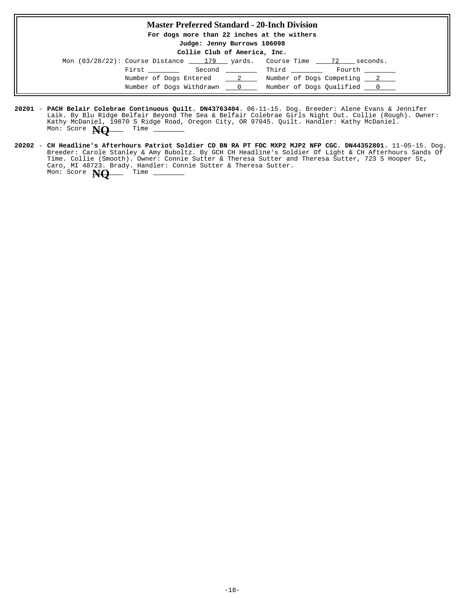### **Master Preferred Standard - 20-Inch Division**

**For dogs more than 22 inches at the withers**

**Judge: Jenny Burrows 106098**

#### **Collie Club of America, Inc.**

| Mon (03/28/22): Course Distance 179 yards. Course Time 72 |                            |              | seconds.                           |
|-----------------------------------------------------------|----------------------------|--------------|------------------------------------|
|                                                           | First ______               | Second Third | Fourth ________                    |
|                                                           | Number of Dogs Entered 2   |              | Number of Dogs Competing 2         |
|                                                           | Number of Dogs Withdrawn 0 |              | Number of Dogs Qualified _________ |

- **20201 PACH Belair Colebrae Continuous Quilt. DN43763404.** 06-11-15. Dog. Breeder: Alene Evans & Jennifer Laik. By Blu Ridge Belfair Beyond The Sea & Belfair Colebrae Girls Night Out. Collie (Rough). Owner: Kathy McDaniel, 19870 S Ridge Road, Oregon City, OR 97045. Quilt. Handler: Kathy McDaniel. Mon: Score **NQ** Time
- **20202** 11-05-15. Dog. **CH Headline's Afterhours Patriot Soldier CD BN RA PT FDC MXP2 MJP2 NFP CGC. DN44352801.** Breeder: Carole Stanley & Amy Buboltz. By GCH CH Headline's Soldier Of Light & CH Afterhours Sands Of Time. Collie (Smooth). Owner: Connie Sutter & Theresa Sutter and Theresa Sutter, 723 S Hooper St, Caro, MI 48723. Brady. Handler: Connie Sutter & Theresa Sutter. Mon: Score **NQ** Time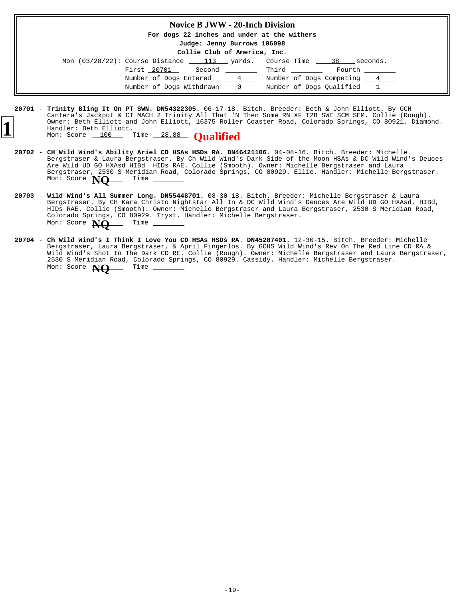#### **Novice B JWW - 20-Inch Division**

**For dogs 22 inches and under at the withers**

**Judge: Jenny Burrows 106098**

**Collie Club of America, Inc.**

| Mon (03/28/22): Course Distance 113 yards. Course Time 38 |                 |       | seconds.                   |
|-----------------------------------------------------------|-----------------|-------|----------------------------|
| First 20701                                               | Second ________ | Third | Fourth                     |
| Number of Dogs Entered                                    | $\frac{4}{1}$   |       | Number of Dogs Competing 4 |
| Number of Dogs Withdrawn                                  | $\sim$ 0 $\sim$ |       | Number of Dogs Oualified 1 |

<sup>20701 -</sup> Trinity Bling It On PT SWN. DN54322305. 06-17-18. Bitch. Breeder: Beth & John Elliott. By GCH Cantera's Jackpot & CT MACH 2 Trinity All That 'N Then Some RN XF T2B SWE SCM SEM. Collie (Rough). Owner: Beth Elliott and John Elliott, 16375 Roller Coaster Road, Colorado Springs, CO 80921. Diamond. Handler: Beth Elliott. Mon: Score 100 Time 28.88 **Qualified** 

<sup>20702 -</sup> **CH Wild Wind's Ability Ariel CD HSAs HSDs RA. DN46421106.** 04-08-16. Bitch. Breeder: Michelle Bergstraser & Laura Bergstraser. By Ch Wild Wind's Dark Side of the Moon HSAs & DC Wild Wind's Deuces Are Wild UD GO HXAsd HIBd HIDs RAE. Collie (Smooth). Owner: Michelle Bergstraser and Laura Bergstraser, 2530 S Meridian Road, Colorado Springs, CO 80929. Ellie. Handler: Michelle Bergstraser. Mon: Score **NO** Time \_

<sup>20</sup>**703 - Wild Wind's All Summer Long. DN55448701.** 08-30-18. Bitch. Breeder: Michelle Bergstraser & Laura Bergstraser. By CH Kara Christo Nightstar All In & DC Wild Wind's Deuces Are Wild UD GO HXAsd, HIBd, HIDs RAE. Collie (Smooth). Owner: Michelle Bergstraser and Laura Bergstraser, 2530 S Meridian Road, Colorado Springs, CO 80929. Tryst. Handler: Michelle Bergstraser. **Wild Wind's All Summer Long. DN55448701.** Mon: Score **NO** Time \_

<sup>20704 -</sup> Ch Wild Wind's I Think I Love You CD HSAs HSDs RA. DN45287401. 12-30-15. Bitch. Breeder: Michelle Bergstraser, Laura Bergstraser, & April Fingerlos. By GCHS Wild Wind's Rev On The Red Line CD RA & Wild Wind's Shot In The Dark CD RE. Collie (Rough). Owner: Michelle Bergstraser and Laura Bergstraser, 2530 S Meridian Road, Colorado Springs, CO 80929. Cassidy. Handler: Michelle Bergstraser. Mon: Score **NO** Time -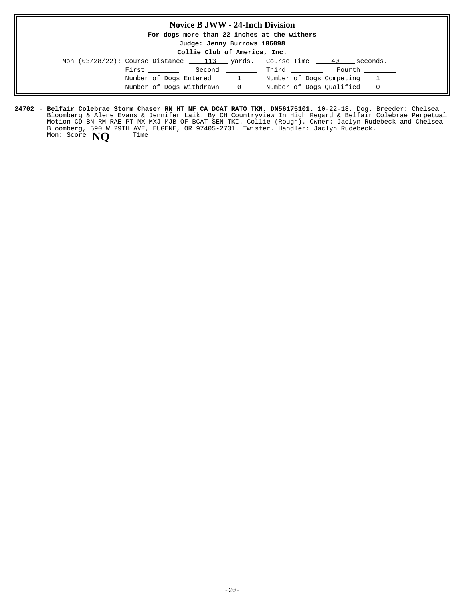### **Novice B JWW - 24-Inch Division**

**For dogs more than 22 inches at the withers**

**Judge: Jenny Burrows 106098**

**Collie Club of America, Inc.**

| Mon $(03/28/22)$ : Course Distance 113 yards. Course Time |                          |                                  |                            | 40 | seconds. |
|-----------------------------------------------------------|--------------------------|----------------------------------|----------------------------|----|----------|
| First ________                                            |                          | Second _________                 | Third                      |    | Fourth   |
|                                                           | Number of Dogs Entered   | $\frac{1}{\sqrt{1-\frac{1}{2}}}$ | Number of Dogs Competing 1 |    |          |
|                                                           | Number of Dogs Withdrawn | $\sim$ 0                         | Number of Dogs Qualified 0 |    |          |

**24702 - Belfair Colebrae Storm Chaser RN HT NF CA DCAT RATO TKN. DN56175101.** 10-22-18. Dog. Breeder: Chelsea Bloomberg & Alene Evans & Jennifer Laik. By CH Countryview In High Regard & Belfair Colebrae Perpetual Motion CD BN RM RAE PT MX MXJ MJB OF BCAT SEN TKI. Collie (Rough). Owner: Jaclyn Rudebeck and Chelsea Bloomberg, 590 W 29TH AVE, EUGENE, OR 97405-2731. Twister. Handler: Jaclyn Rudebeck. **Belfair Colebrae Storm Chaser RN HT NF CA DCAT RATO TKN. DN56175101.** Mon: Score **NO** Time -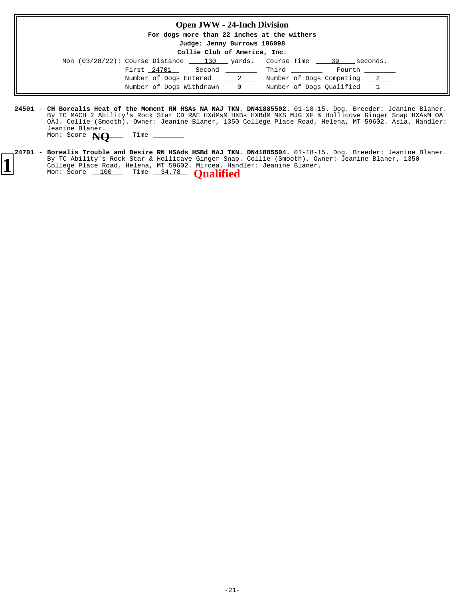| <b>Open JWW - 24-Inch Division</b>                                                      |                              |
|-----------------------------------------------------------------------------------------|------------------------------|
| For dogs more than 22 inches at the withers                                             |                              |
| Judge: Jenny Burrows 106098                                                             |                              |
| Collie Club of America, Inc.                                                            |                              |
| Mon $(03/28/22)$ : Course Distance $\qquad 130$ yards. Course Time $\qquad 39$ seconds. |                              |
| First 24701 Second                                                                      | Fourth<br>Third              |
| Number of Dogs Entered 2 Number of Dogs Competing 2                                     |                              |
| Number of Dogs Withdrawn                                                                | 0 Number of Dogs Oualified 1 |

- **24501 CH Borealis Heat of the Moment RN HSAs NA NAJ TKN. DN41885502.** 01-18-15. Dog. Breeder: Jeanine Blaner. By TC MACH 2 Ability's Rock Star CD RAE HXdMsM HXBs HXBdM MXS MJG XF & Hollicove Ginger Snap HXAsM OA OAJ. Collie (Smooth). Owner: Jeanine Blaner, 1350 College Place Road, Helena, MT 59602. Asia. Handler: Jeanine Blaner. Mon: Score **NQ** Time -
- **24701 Borealis Trouble and Desire RN HSAds HSBd NAJ TKN. DN41885504.** 01-18-15. Dog. Breeder: Jeanine Blaner. By TC Ability's Rock Star & Hollicave Ginger Snap. Collie (Smooth). Owner: Jeanine Blaner, 1350 **1** By IC ADIITLY'S ROCK Star & HOIIICave Ginger Shap. College (Smooth). Ow<br>College Place Road, Helena, MT 59602. Mircea. Handler: Jeanine Blaner.<br>Mon: Score 100 Time 34.78 **Qualified Borealis Trouble and Desire RN HSAds HSBd NAJ TKN. DN41885504.**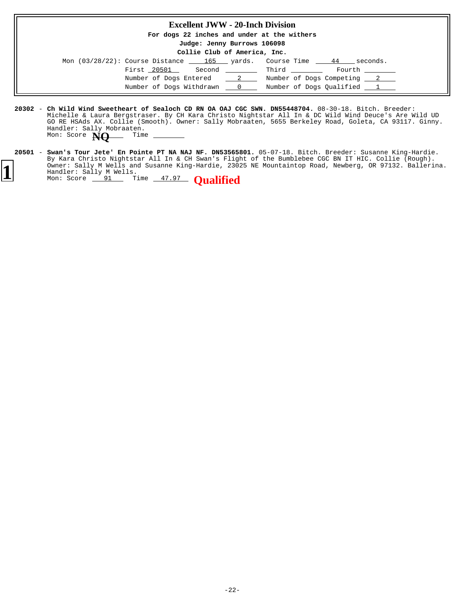| <b>Excellent JWW - 20-Inch Division</b>                                             |        |
|-------------------------------------------------------------------------------------|--------|
| For dogs 22 inches and under at the withers                                         |        |
| Judge: Jenny Burrows 106098<br>Collie Club of America, Inc.                         |        |
| Mon $(03/28/22)$ : Course Distance $\_\_$ 165 yards. Course Time $\_\_$ 44 seconds. |        |
| First 20501 Second Third                                                            | Fourth |
| Number of Dogs Entered 2 Number of Dogs Competing 2                                 |        |
| Number of Dogs Withdrawn 0 1 Number of Dogs Oualified 1                             |        |

- **20302** 08-30-18. Bitch. Breeder: **Ch Wild Wind Sweetheart of Sealoch CD RN OA OAJ CGC SWN. DN55448704.** Michelle & Laura Bergstraser. By CH Kara Christo Nightstar All In & DC Wild Wind Deuce's Are Wild UD GO RE HSAds AX. Collie (Smooth). Owner: Sally Mobraaten, 5655 Berkeley Road, Goleta, CA 93117. Ginny. Handler: Sally Mobraaten. Mon: Score **NQ** Time -
- **20501 Swan's Tour Jete' En Pointe PT NA NAJ NF. DN53565801.** 05-07-18. Bitch. Breeder: Susanne King-Hardie. By Kara Christo Nightstar All In & CH Swan's Flight of the Bumblebee CGC BN IT HIC. Collie (Rough). Owner: Sally M Wells and Susanne King-Hardie, 23025 NE Mountaintop Road, Newberg, OR 97132. Ballerina. Handler: Sally M Wells. **Swan's Tour Jete' En Pointe PT NA NAJ NF. DN53565801. 1** Owner: Sally M Wells and Susanne King-Hardie, 2302<br>
Handler: Sally M Wells.<br>
Mon: Score 91 Time 47.97 **Qualified**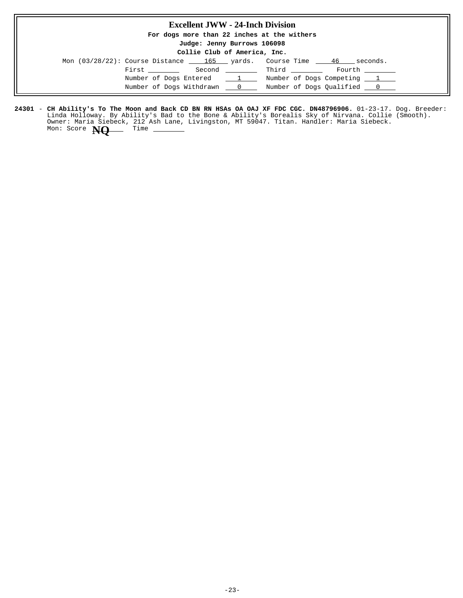### **Excellent JWW - 24-Inch Division**

**For dogs more than 22 inches at the withers**

**Judge: Jenny Burrows 106098**

**Collie Club of America, Inc.**

| Mon (03/28/22): Course Distance 165 yards. Course Time 46 |                | seconds.                   |
|-----------------------------------------------------------|----------------|----------------------------|
| First ______<br>Second                                    |                | Third<br>Fourth            |
| Number of Dogs Entered 1                                  |                | Number of Dogs Competing 1 |
| Number of Dogs Withdrawn                                  | $\mathbb{R}$ 0 | Number of Dogs Qualified 0 |

24301 – **CH Ability's To The Moon and Back CD BN RN HSAs OA OAJ XF FDC CGC. DN48796906.** 01-23-17. Dog. Breeder: Linda Holloway. By Ability's Bad to the Bone & Ability's Borealis Sky of Nirvana. Collie (Smooth). Owner: Maria Siebeck, 212 Ash Lane, Livingston, MT 59047. Titan. Handler: Maria Siebeck. **CH Ability's To The Moon and Back CD BN RN HSAs OA OAJ XF FDC CGC. DN48796906.** Mon: Score **NQ** Time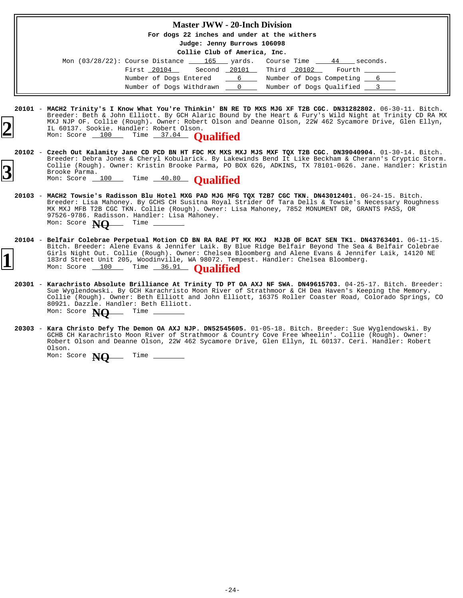|           | <b>Master JWW - 20-Inch Division</b>                                                                                                                                                                                                                                                                                                                                                                                                                     |
|-----------|----------------------------------------------------------------------------------------------------------------------------------------------------------------------------------------------------------------------------------------------------------------------------------------------------------------------------------------------------------------------------------------------------------------------------------------------------------|
|           | For dogs 22 inches and under at the withers                                                                                                                                                                                                                                                                                                                                                                                                              |
|           | Judge: Jenny Burrows 106098                                                                                                                                                                                                                                                                                                                                                                                                                              |
|           | Collie Club of America, Inc.                                                                                                                                                                                                                                                                                                                                                                                                                             |
|           | Mon $(03/28/22)$ : Course Distance $\underline{\hspace{1cm}}$ 165 $\underline{\hspace{1cm}}$ yards. Course Time $\underline{\hspace{1cm}}$ 44 $\underline{\hspace{1cm}}$ seconds.                                                                                                                                                                                                                                                                        |
|           | Second 20101 Third 20102 Fourth _______<br>First 20104                                                                                                                                                                                                                                                                                                                                                                                                   |
|           | Number of Dogs Entered <u>6 6</u> Number of Dogs Competing 6                                                                                                                                                                                                                                                                                                                                                                                             |
|           | Number of Dogs Withdrawn __ 0 __ Number of Dogs Qualified __ 3                                                                                                                                                                                                                                                                                                                                                                                           |
|           | 20101 - MACH2 Trinity's I Know What You're Thinkin' BN RE TD MXS MJG XF T2B CGC. DN31282802. 06-30-11. Bitch.<br>Breeder: Beth & John Elliott. By GCH Alaric Bound by the Heart & Fury's Wild Night at Trinity CD RA MX<br>MXJ NJP OF. Collie (Rough). Owner: Robert Olson and Deanne Olson, 22W 462 Sycamore Drive, Glen Ellyn,<br>IL 60137. Sookie. Handler: Robert Olson.<br>Mon: Score 100 Time 37.04 Oualified                                      |
|           | 20102 - Czech Out Kalamity Jane CD PCD BN HT FDC MX MXS MXJ MJS MXF TQX T2B CGC. DN39040904. 01-30-14. Bitch.<br>Breeder: Debra Jones & Cheryl Kobularick. By Lakewinds Bend It Like Beckham & Cherann's Cryptic Storm.<br>Collie (Rough). Owner: Kristin Brooke Parma, PO BOX 626, ADKINS, TX 78101-0626. Jane. Handler: Kristin<br>Brooke Parma.<br>Mon: Score 100 Time 40.80 Qualified                                                                |
|           | 20103 - MACH2 Towsie's Radisson Blu Hotel MXG PAD MJG MFG TOX T2B7 CGC TKN. DN43012401. 06-24-15. Bitch.<br>Breeder: Lisa Mahoney. By GCHS CH Susitna Royal Strider Of Tara Dells & Towsie's Necessary Roughness<br>MX MXJ MFB T2B CGC TKN. Collie (Rough). Owner: Lisa Mahoney, 7852 MONUMENT DR, GRANTS PASS, OR<br>97526-9786. Radisson. Handler: Lisa Mahoney.<br>Mon: Score $\mathbf{NQ}$ Time ______                                               |
|           | 20104 - Belfair Colebrae Perpetual Motion CD BN RA RAE PT MX MXJ MJJB OF BCAT SEN TK1. DN43763401. 06-11-15.<br>Bitch. Breeder: Alene Evans & Jennifer Laik. By Blue Ridge Belfair Beyond The Sea & Belfair Colebrae<br>Girls Night Out. Collie (Rough). Owner: Chelsea Bloomberg and Alene Evans & Jennifer Laik, 14120 NE<br>183rd Street Unit 205, Woodinville, WA 98072. Tempest. Handler: Chelsea Bloomberg.<br>Mon: Score 100 Time 36.91 Oualified |
| $20301 -$ | Karachristo Absolute Brilliance At Trinity TD PT OA AXJ NF SWA. DN49615703. 04-25-17. Bitch. Breeder:<br>Sue Wyglendowski. By GCH Karachristo Moon River of Strathmoor & CH Dea Haven's Keeping the Memory.<br>Collie (Rough). Owner: Beth Elliott and John Elliott, 16375 Roller Coaster Road, Colorado Springs, CO<br>80921. Dazzle. Handler: Beth Elliott.<br>Mon: Score NO<br>Time                                                                   |

**20303 - Kara Christo Defy The Demon OA AXJ NJP. DN52545605.** 01-05-18. Bitch. Breeder: Sue Wyglendowski. By GCHB CH Karachristo Moon River of Strathmoor & Country Cove Free Wheelin'. Collie (Rough). Owner: Robert Olson and Deanne Olson, 22W 462 Sycamore Drive, Glen Ellyn, IL 60137. Ceri. Handler: Robert Olson. **Kara Christo Defy The Demon OA AXJ NJP. DN52545605.**

Mon: Score  $\mathbf{NQ}$  Time –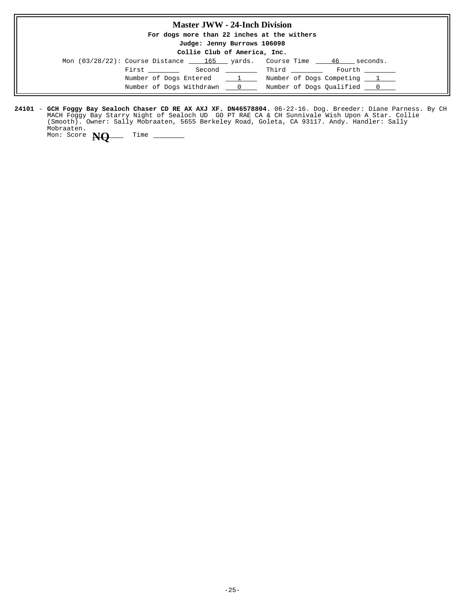## **Master JWW - 24-Inch Division For dogs more than 22 inches at the withers Judge: Jenny Burrows 106098 Collie Club of America, Inc.** Mon  $(03/28/22)$ : Course Distance  $\underline{\hspace{1cm}}$  165  $\underline{\hspace{1cm}}$  yards. Course Time  $\underline{\hspace{1cm}}$  46 seconds.  $\begin{tabular}{llllll} \multicolumn{2}{l}{{\bf First}} & \multicolumn{2}{l}{\bf Second} & \multicolumn{2}{l}{\bf{Third}} & \multicolumn{2}{l}{\bf Fourier} & \multicolumn{2}{l}{\bf Fourth} \\ \multicolumn{2}{l}{\bf{First}} & \multicolumn{2}{l}{\bf Second} & \multicolumn{2}{l}{\bf Third} & \multicolumn{2}{l}{\bf{(First)}} \\ \multicolumn{2}{l}{\bf Fourier} & \multicolumn{2}{l}{\bf (Second)} & \multicolumn{2}{l}{\bf{(First)}} \\ \multicolumn{2}{l}{\bf{Third}} & \multicolumn{2}{l}{\bf{(First)}} & \multicolumn{$ Number of Dogs Entered  $1 \t$  Number of Dogs Competing  $1 \t$ Number of Dogs Withdrawn  $\qquad 0$  Number of Dogs Qualified  $\qquad 0$

**24101 - GCH Foggy Bay Sealoch Chaser CD RE AX AXJ XF. DN46578804.** 06-22-16. Dog. Breeder: Diane Parness. By CH MACH Foggy Bay Starry Night of Sealoch UD GO PT RAE CA & CH Sunnivale Wish Upon A Star. Collie (Smooth). Owner: Sally Mobraaten, 5655 Berkeley Road, Goleta, CA 93117. Andy. Handler: Sally Mobraaten. **GCH Foggy Bay Sealoch Chaser CD RE AX AXJ XF. DN46578804.**

Mon: Score **NO** Time \_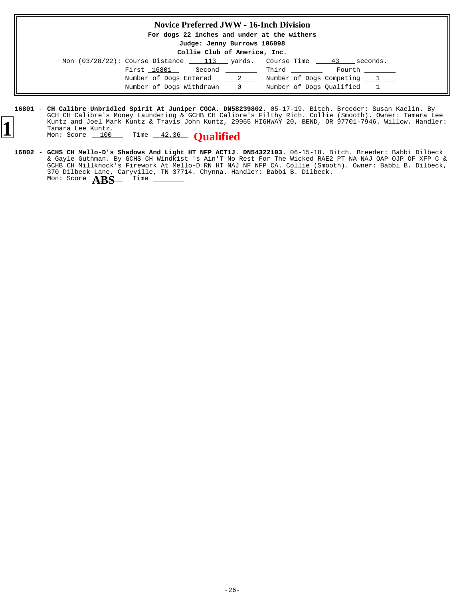### **Novice Preferred JWW - 16-Inch Division**

**For dogs 22 inches and under at the withers**

**Judge: Jenny Burrows 106098 Collie Club of America, Inc.**

|  |             | COLLIE CIUD OF AMERICA, INC. |                                                                                |                 |
|--|-------------|------------------------------|--------------------------------------------------------------------------------|-----------------|
|  |             |                              | Mon $(03/28/22)$ : Course Distance $\qquad 113$ yards. Course Time $\qquad 43$ | seconds.        |
|  | First 16801 |                              | Second Third                                                                   | Fourth ________ |
|  |             | Number of Dogs Entered 2     | Number of Dogs Competing 1                                                     |                 |
|  |             | Number of Dogs Withdrawn 0   | Number of Dogs Oualified 1                                                     |                 |

**<sup>16801 –</sup> CH Calibre Unbridled Spirit At Juniper CGCA. DN58239802.** 05-17-19. Bitch. Breeder: Susan Kaelin. By GCH CH Calibre's Money Laundering & GCHB CH Calibre's Filthy Rich. Collie (Smooth). Owner: Tamara Lee Kuntz and Joel Mark Kuntz & Travis John Kuntz, 29955 HIGHWAY 20, BEND, OR 97701-7946. Willow. Handler: Tamara Lee Kuntz. **1** Muntz and Joel Mark Kuntz & Travis John Kuntz, 299<br>Tamara Lee Kuntz.<br>Mon: Score 100 Time 42.36 **Qualified** 



16802 - GCHS CH Mello-D's Shadows And Light HT NFP ACT1J. DN54322103. 06-15-18. Bitch. Breeder: Babbi Dilbeck & Gayle Guthman. By GCHS CH Windkist 's Ain'T No Rest For The Wicked RAE2 PT NA NAJ OAP OJP OF XFP C & GCHB CH Millknock's Firework At Mello-D RN HT NAJ NF NFP CA. Collie (Smooth). Owner: Babbi B. Dilbeck, 370 Dilbeck Lane, Caryville, TN 37714. Chynna. Handler: Babbi B. Dilbeck. **GCHS CH Mello-D's Shadows And Light HT NFP ACT1J. DN54322103.** Mon: Score **ABS** Time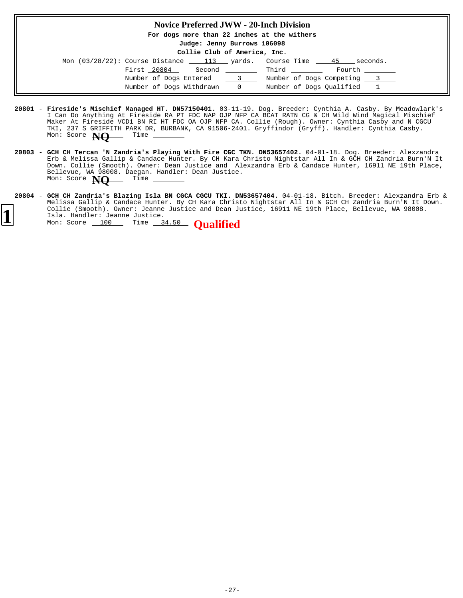#### **Novice Preferred JWW - 20-Inch Division**

**For dogs more than 22 inches at the withers**

# **Judge: Jenny Burrows 106098**

| Collie Club of America, Inc. |  |
|------------------------------|--|
|------------------------------|--|

| Mon $(03/28/22)$ : Course Distance |             | 113 yards.               |          | Course Time                  | 45 | seconds. |
|------------------------------------|-------------|--------------------------|----------|------------------------------|----|----------|
|                                    | First 20804 | Second                   |          | <b>Example 2</b> Third Third |    | Fourth   |
|                                    |             | Number of Dogs Entered   | $\sim$ 3 | Number of Dogs Competing 3   |    |          |
|                                    |             | Number of Dogs Withdrawn | $\sim$ 0 | Number of Dogs Oualified 1   |    |          |

- **20801 Fireside's Mischief Managed HT. DN57150401.** 03-11-19. Dog. Breeder: Cynthia A. Casby. By Meadowlark's I Can Do Anything At Fireside RA PT FDC NAP OJP NFP CA BCAT RATN CG & CH Wild Wind Magical Mischief Maker At Fireside VCD1 BN RI HT FDC OA OJP NFP CA. Collie (Rough). Owner: Cynthia Casby and N CGCU TKI, 237 S GRIFFITH PARK DR, BURBANK, CA 91506-2401. Gryffindor (Gryff). Handler: Cynthia Casby.<br>Mon: Score **NALL Time** \_\_\_\_\_\_\_ Mon: Score **NO**
- **20803 GCH CH Tercan 'N Zandria's Playing With Fire CGC TKN. DN53657402.** 04-01-18. Dog. Breeder: Alexzandra Erb & Melissa Gallip & Candace Hunter. By CH Kara Christo Nightstar All In & GCH CH Zandria Burn'N It Down. Collie (Smooth). Owner: Dean Justice and Alexzandra Erb & Candace Hunter, 16911 NE 19th Place, Bellevue, WA 98008. Daegan. Handler: Dean Justice. Mon: Score **NQ** Time \_
- **20804 GCH CH Zandria's Blazing Isla BN CGCA CGCU TKI. DN53657404.** 04-01-18. Bitch. Breeder: Alexzandra Erb & Melissa Gallip & Candace Hunter. By CH Kara Christo Nightstar All In & GCH CH Zandria Burn'N It Down. Collie (Smooth). Owner: Jeanne Justice and Dean Justice, 16911 NE 19th Place, Bellevue, WA 98008. Isla. Handler: Jeanne Justice. **1** Collie (Smooth). Owner: Jeanne Justice and Dean District Isla. Handler: Jeanne Justice.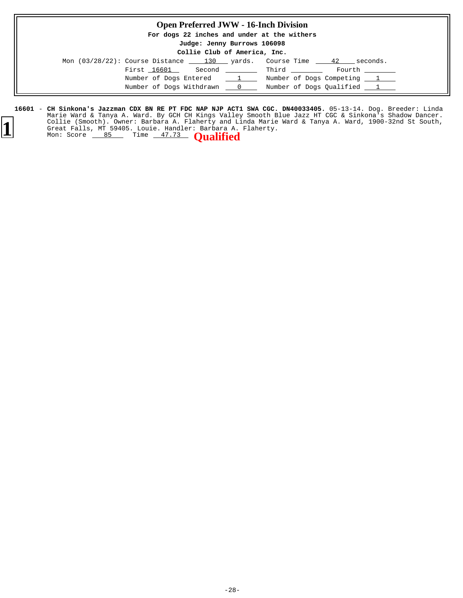### **Open Preferred JWW - 16-Inch Division**

**For dogs 22 inches and under at the withers**

#### **Judge: Jenny Burrows 106098 Collie Club of America, Inc.**

|  |                                                 | coille club of macricus inc. |          |                |                            |
|--|-------------------------------------------------|------------------------------|----------|----------------|----------------------------|
|  | Mon $(03/28/22)$ : Course Distance $130$ yards. |                              |          | Course Time 42 | seconds.                   |
|  | First 16601 Second Third                        |                              |          |                | Fourth                     |
|  | Number of Dogs Entered                          |                              | $\perp$  |                | Number of Dogs Competing 1 |
|  | Number of Dogs Withdrawn                        |                              | $\sim$ 0 |                | Number of Dogs Qualified 1 |

**16601 – CH Sinkona's Jazzman CDX BN RE PT FDC NAP NJP ACT1 SWA CGC. DN40033405.** 05-13-14. Dog. Breeder: Linda Marie Ward & Tanya A. Ward. By GCH CH Kings Valley Smooth Blue Jazz HT CGC & Sinkona's Shadow Dancer. Collie (Smooth). Owner: Barbara A. Flaherty and Linda Marie Ward & Tanya A. Ward, 1900-32nd St South, Great Falls, MT 59405. Louie. Handler: Barbara A. Flaherty. **CH Sinkona's Jazzman CDX BN RE PT FDC NAP NJP ACT1 SWA CGC. DN40033405.** Collie (Smooth). Owner: Barbara A. Flaherty and L.<br>Great Falls, MT 59405. Louie. Handler: Barbara A.<br>Mon: Score 85 Time 47.73 **Qualified**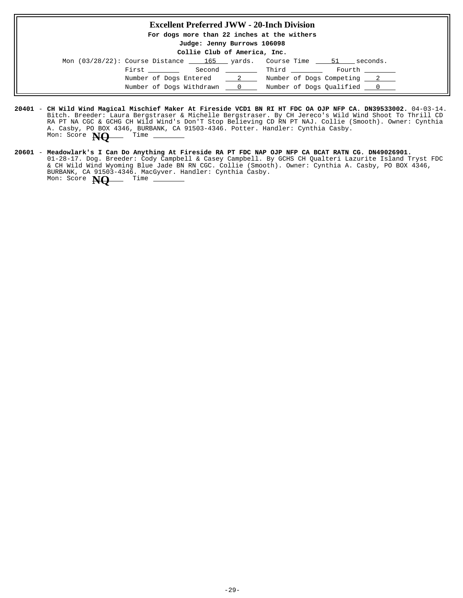### **Excellent Preferred JWW - 20-Inch Division**

**For dogs more than 22 inches at the withers**

**Judge: Jenny Burrows 106098**

**Collie Club of America, Inc.**

| Mon $(03/28/22)$ : Course Distance $\qquad 165$ yards. Course Time $\qquad 51$ | seconds.                       |  |
|--------------------------------------------------------------------------------|--------------------------------|--|
| First ________                                                                 | Second Third<br>Fourth _______ |  |
| Number of Dogs Entered 2                                                       | Number of Dogs Competing 2     |  |
| Number of Dogs Withdrawn 0                                                     | Number of Dogs Oualified 0     |  |

- **20401** 04-03-14. **CH Wild Wind Magical Mischief Maker At Fireside VCD1 BN RI HT FDC OA OJP NFP CA. DN39533002.** Bitch. Breeder: Laura Bergstraser & Michelle Bergstraser. By CH Jereco's Wild Wind Shoot To Thrill CD RA PT NA CGC & GCHG CH Wild Wind's Don'T Stop Believing CD RN PT NAJ. Collie (Smooth). Owner: Cynthia A. Casby, PO BOX 4346, BURBANK, CA 91503-4346. Potter. Handler: Cynthia Casby. Mon: Score **NQ** Time -
- **20601 Meadowlark's I Can Do Anything At Fireside RA PT FDC NAP OJP NFP CA BCAT RATN CG. DN49026901.** 01-28-17. Dog. Breeder: Cody Campbell & Casey Campbell. By GCHS CH Qualteri Lazurite Island Tryst FDC & CH Wild Wind Wyoming Blue Jade BN RN CGC. Collie (Smooth). Owner: Cynthia A. Casby, PO BOX 4346, BURBANK, CA 91503-4346. MacGyver. Handler: Cynthia Casby. Mon: Score **NQ** Time \_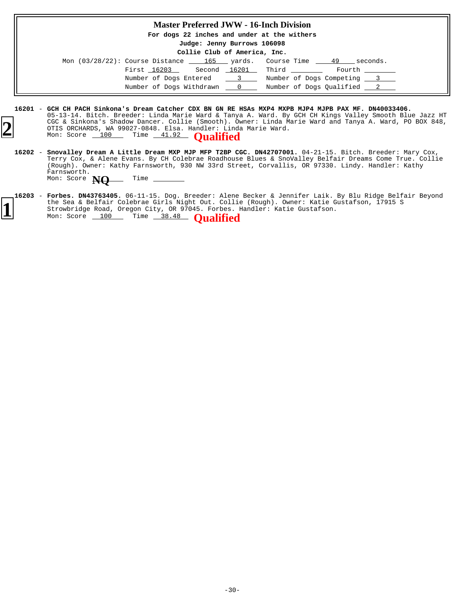### **Master Preferred JWW - 16-Inch Division**

**For dogs 22 inches and under at the withers**

**Judge: Jenny Burrows 106098**

**Collie Club of America, Inc.**

|  |             |                          |                | Mon (03/28/22): Course Distance 165 yards. Course Time 49 | seconds. |
|--|-------------|--------------------------|----------------|-----------------------------------------------------------|----------|
|  | First 16203 |                          |                | Second 16201 Third                                        | Fourth   |
|  |             | Number of Dogs Entered   | $\sim$ 3       | Number of Dogs Competing 3                                |          |
|  |             | Number of Dogs Withdrawn | $\overline{0}$ | Number of Dogs Oualified 2                                |          |

**<sup>16201</sup>** - **GCH CH PACH Sinkona's Dream Catcher CDX BN GN RE HSAs MXP4 MXPB MJP4 MJPB PAX MF. DN40033406.** 05-13-14. Bitch. Breeder: Linda Marie Ward & Tanya A. Ward. By GCH CH Kings Valley Smooth Blue Jazz HT CGC & Sinkona's Shadow Dancer. Collie (Smooth). Owner: Linda Marie Ward and Tanya A. Ward, PO BOX 848, OTIS ORCHARDS, WA 99027-0848. Elsa. Handler: Linda Marie Ward. **2** CGC & SINKONA'S SNAGOW DANCET. COLLIE (SMOOTN). OF OTIS ORCHARDS, WA 99027-0848. Elsa. Handler: Lind.<br>Mon: Score 100 Time 41.92 **Qualified** 

- <code>16202 Snovalley Dream A Little Dream MXP MJP MFP T2BP CGC. DN42707001.</mark> 04-21-15. Bitch. Breeder: Mary Cox,</code> Terry Cox, & Alene Evans. By CH Colebrae Roadhouse Blues & SnoValley Belfair Dreams Come True. Collie (Rough). Owner: Kathy Farnsworth, 930 NW 33rd Street, Corvallis, OR 97330. Lindy. Handler: Kathy Farnsworth. Mon: Score **NQ** Time -
- 16203 **Forbes. DN43763405.** 06-11-15. Dog. Breeder: Alene Becker & Jennifer Laik. By Blu Ridge Belfair Beyond the Sea & Belfair Colebrae Girls Night Out. Collie (Rough). Owner: Katie Gustafson, 17915 S Strowbridge Road, Oregon City, OR 97045. Forbes. Handler: Katie Gustafson. **<sup>1</sup>** Mon: Score 100 Time 38.48 **Qualified**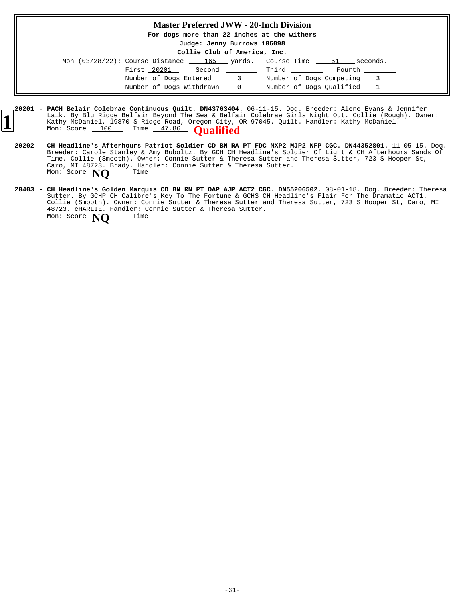### **Master Preferred JWW - 20-Inch Division**

**For dogs more than 22 inches at the withers**

**Judge: Jenny Burrows 106098 Collie Club of America, Inc.**

|                            | COILLE CIUD OI AMELICA, INC. |              |                                                                    |  |
|----------------------------|------------------------------|--------------|--------------------------------------------------------------------|--|
|                            |                              |              | Mon (03/28/22): Course Distance 165 yards. Course Time 51 seconds. |  |
| First 20201                |                              | Second Third | Fourth                                                             |  |
| Number of Dogs Entered 3   |                              |              | Number of Dogs Competing 3                                         |  |
| Number of Dogs Withdrawn 0 |                              |              | Number of Dogs Qualified 1                                         |  |

- **20201 PACH Belair Colebrae Continuous Quilt. DN43763404.** 06-11-15. Dog. Breeder: Alene Evans & Jennifer Laik. By Blu Ridge Belfair Beyond The Sea & Belfair Colebrae Girls Night Out. Collie (Rough). Owner: Kathy McDaniel, 19870 S Ridge Road, Oregon City, OR 97045. Quilt. Handler: Kathy McDaniel. Mon: Score 100 Time 47.86 **Qualified**
- **20202** 11-05-15. Dog. **CH Headline's Afterhours Patriot Soldier CD BN RA PT FDC MXP2 MJP2 NFP CGC. DN44352801.** Breeder: Carole Stanley & Amy Buboltz. By GCH CH Headline's Soldier Of Light & CH Afterhours Sands Of Time. Collie (Smooth). Owner: Connie Sutter & Theresa Sutter and Theresa Sutter, 723 S Hooper St, Caro, MI 48723. Brady. Handler: Connie Sutter & Theresa Sutter. Mon: Score **NQ** Time
- **20403** 08-01-18. Dog. Breeder: Theresa **CH Headline's Golden Marquis CD BN RN PT OAP AJP ACT2 CGC. DN55206502.** Sutter. By GCHP CH Calibre's Key To The Fortune & GCHS CH Headline's Flair For The Dramatic ACT1. Collie (Smooth). Owner: Connie Sutter & Theresa Sutter and Theresa Sutter, 723 S Hooper St, Caro, MI 48723. cHARLIE. Handler: Connie Sutter & Theresa Sutter. Mon: Score **NO** Time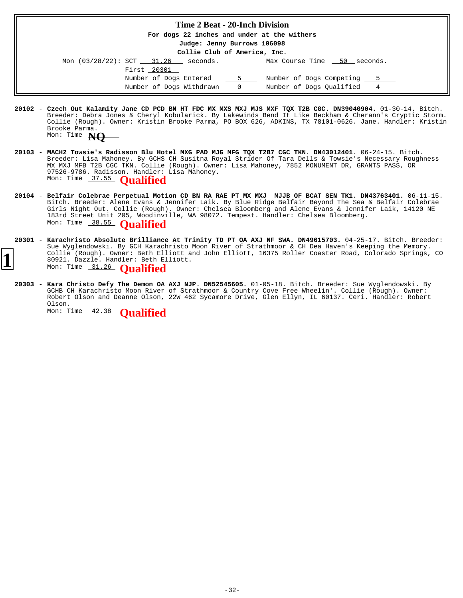#### **Time 2 Beat - 20-Inch Division**

**For dogs 22 inches and under at the withers**

**Judge: Jenny Burrows 106098**

**Collie Club of America, Inc.**

| Mon $(03/28/22)$ : SCT 31.26 |             | seconds.                 |                | Max Course Time 50 seconds. |  |
|------------------------------|-------------|--------------------------|----------------|-----------------------------|--|
|                              | First 20301 |                          |                |                             |  |
|                              |             | Number of Dogs Entered 5 |                | Number of Dogs Competing 5  |  |
|                              |             | Number of Dogs Withdrawn | $\overline{0}$ | Number of Dogs Oualified 4  |  |

- 20102 Czech Out Kalamity Jane CD PCD BN HT FDC MX MXS MXJ MJS MXF TQX T2B CGC. DN39040904. 01-30-14. Bitch. Breeder: Debra Jones & Cheryl Kobularick. By Lakewinds Bend It Like Beckham & Cherann's Cryptic Storm. Collie (Rough). Owner: Kristin Brooke Parma, PO BOX 626, ADKINS, TX 78101-0626. Jane. Handler: Kristin Brooke Parma. Mon: Time **NQ**
- **20103** 06-24-15. Bitch. Breeder: Lisa Mahoney. By GCHS CH Susitna Royal Strider Of Tara Dells & Towsie's Necessary Roughness MX MXJ MFB T2B CGC TKN. Collie (Rough). Owner: Lisa Mahoney, 7852 MONUMENT DR, GRANTS PASS, OR 97526-9786. Radisson. Handler: Lisa Mahoney. **MACH2 Towsie's Radisson Blu Hotel MXG PAD MJG MFG TQX T2B7 CGC TKN. DN43012401.** Mon: Time 37.55 **Qualified**
- 20104 Belfair Colebrae Perpetual Motion CD BN RA RAE PT MX MXJ MJJB OF BCAT SEN TK1. DN43763401. 06-11-15. Bitch. Breeder: Alene Evans & Jennifer Laik. By Blue Ridge Belfair Beyond The Sea & Belfair Colebrae Girls Night Out. Collie (Rough). Owner: Chelsea Bloomberg and Alene Evans & Jennifer Laik, 14120 NE 183rd Street Unit 205, Woodinville, WA 98072. Tempest. Handler: Chelsea Bloomberg. **Belfair Colebrae Perpetual Motion CD BN RA RAE PT MX MXJ MJJB OF BCAT SEN TK1. DN43763401.** Mon: Time 38.55 **Qualified**
- **20301** 04-25-17. Bitch. Breeder: **Karachristo Absolute Brilliance At Trinity TD PT OA AXJ NF SWA. DN49615703.** Sue Wyglendowski. By GCH Karachristo Moon River of Strathmoor & CH Dea Haven's Keeping the Memory. Collie (Rough). Owner: Beth Elliott and John Elliott, 16375 Roller Coaster Road, Colorado Springs, CO 80921. Dazzle. Handler: Beth Elliott. **1** Mon: Time 31.26 **Qualified** 
	-
	- **20303 Kara Christo Defy The Demon OA AXJ NJP. DN52545605.** 01-05-18. Bitch. Breeder: Sue Wyglendowski. By GCHB CH Karachristo Moon River of Strathmoor & Country Cove Free Wheelin'. Collie (Rough). Owner: Robert Olson and Deanne Olson, 22W 462 Sycamore Drive, Glen Ellyn, IL 60137. Ceri. Handler: Robert Olson.

Mon: Time 42.38 **Qualified**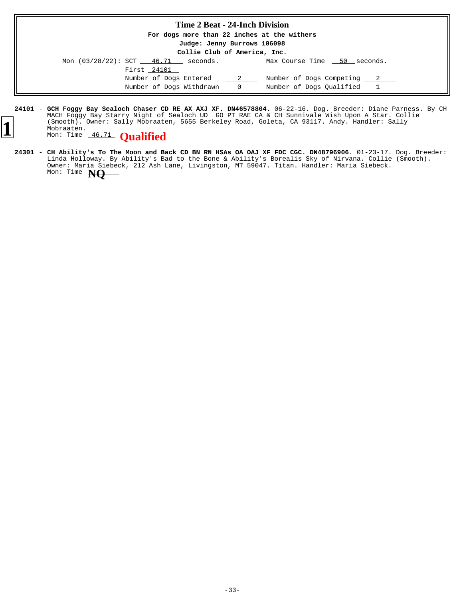| <b>Time 2 Beat - 24-Inch Division</b>                                                                      |                                                          |
|------------------------------------------------------------------------------------------------------------|----------------------------------------------------------|
| For dogs more than 22 inches at the withers                                                                |                                                          |
| Judge: Jenny Burrows 106098                                                                                |                                                          |
| Collie Club of America, Inc.                                                                               |                                                          |
| Mon $(03/28/22)$ : SCT $\underline{\hspace{1cm}}$ 46.71 $\underline{\hspace{1cm}}$ seconds.<br>First 24101 | Max Course Time 50 seconds.                              |
| Number of Dogs Entered 2<br>Number of Dogs Withdrawn 0                                                     | Number of Dogs Competing 2<br>Number of Dogs Oualified 1 |

**24101 - GCH Foggy Bay Sealoch Chaser CD RE AX AXJ XF. DN46578804.** 06-22-16. Dog. Breeder: Diane Parness. By CH MACH Foggy Bay Starry Night of Sealoch UD GO PT RAE CA & CH Sunnivale Wish Upon A Star. Collie (Smooth). Owner: Sally Mobraaten, 5655 Berkeley Road, Goleta, CA 93117. Andy. Handler: Sally Mobraaten. **GCH Foggy Bay Sealoch Chaser CD RE AX AXJ XF. DN46578804.** (Smooth). Owner: Sally Mobraate<br>Mobraaten.<br>Mon: Time 46.71 **Qualified** 



24301 – **CH Ability's To The Moon and Back CD BN RN HSAs OA OAJ XF FDC CGC. DN48796906.** 01-23-17. Dog. Breeder: Linda Holloway. By Ability's Bad to the Bone & Ability's Borealis Sky of Nirvana. Collie (Smooth). Owner: Maria Siebeck, 212 Ash Lane, Livingston, MT 59047. Titan. Handler: Maria Siebeck. **CH Ability's To The Moon and Back CD BN RN HSAs OA OAJ XF FDC CGC. DN48796906.** Mon: Time **NQ**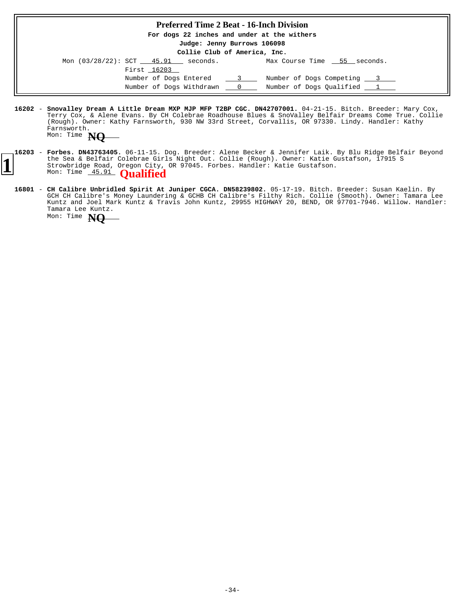### **Preferred Time 2 Beat - 16-Inch Division**

**For dogs 22 inches and under at the withers**

**Judge: Jenny Burrows 106098**

|                           |             | Collie Club of America, Inc. |          |                             |  |
|---------------------------|-------------|------------------------------|----------|-----------------------------|--|
| Mon (03/28/22): SCT 45.91 |             | seconds.                     |          | Max Course Time 55 seconds. |  |
|                           | First 16203 |                              |          |                             |  |
|                           |             | Number of Dogs Entered       | $\sim$ 3 | Number of Dogs Competing 3  |  |
|                           |             | Number of Dogs Withdrawn     |          | Number of Dogs Qualified 1  |  |

- **16202 Snovalley Dream A Little Dream MXP MJP MFP T2BP CGC. DN42707001.** 04-21-15. Bitch. Breeder: Mary Cox, Terry Cox, & Alene Evans. By CH Colebrae Roadhouse Blues & SnoValley Belfair Dreams Come True. Collie (Rough). Owner: Kathy Farnsworth, 930 NW 33rd Street, Corvallis, OR 97330. Lindy. Handler: Kathy Farnsworth.
	- Mon: Time **NQ**
- **16203 Forbes. DN43763405.** 06-11-15. Dog. Breeder: Alene Becker & Jennifer Laik. By Blu Ridge Belfair Beyond the Sea & Belfair Colebrae Girls Night Out. Collie (Rough). Owner: Katie Gustafson, 17915 S Strowbridge Road, Oregon City, OR 97045. Forbes. Handler: Katie Gustafson. **Forbes. DN43763405.** Il the sea & Berliard Colebral City,<br>Strowbridge Road, Oregon City,<br>Mon: Time 45.91 **Qualified** 
	- **16801 CH Calibre Unbridled Spirit At Juniper CGCA. DN58239802.** 05-17-19. Bitch. Breeder: Susan Kaelin. By GCH CH Calibre's Money Laundering & GCHB CH Calibre's Filthy Rich. Collie (Smooth). Owner: Tamara Lee Kuntz and Joel Mark Kuntz & Travis John Kuntz, 29955 HIGHWAY 20, BEND, OR 97701-7946. Willow. Handler: Tamara Lee Kuntz. Mon: Time **NQ**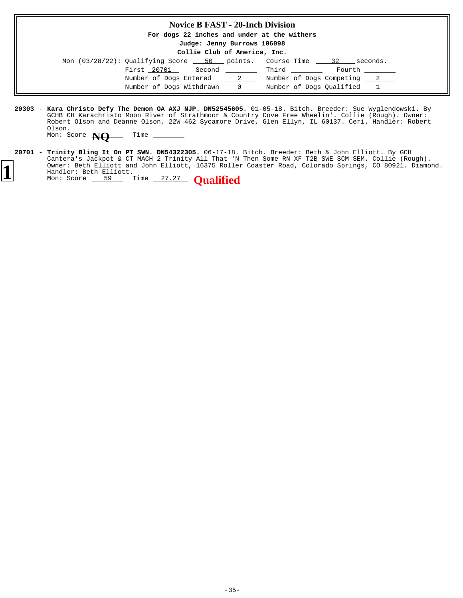| <b>Novice B FAST - 20-Inch Division</b>                                      |
|------------------------------------------------------------------------------|
| For dogs 22 inches and under at the withers                                  |
| Judge: Jenny Burrows 106098                                                  |
| Collie Club of America, Inc.                                                 |
| Mon $(03/28/22)$ : Qualifying Score $-50$ points. Course Time $-32$ seconds. |
| First 20701 Second Third<br>Fourth                                           |
| Number of Dogs Entered 2 1 Number of Dogs Competing 2 2                      |
| Number of Dogs Withdrawn 0 Mumber of Dogs Qualified 1                        |
|                                                                              |

**20303 - Kara Christo Defy The Demon OA AXJ NJP. DN52545605.** 01-05-18. Bitch. Breeder: Sue Wyglendowski. By GCHB CH Karachristo Moon River of Strathmoor & Country Cove Free Wheelin'. Collie (Rough). Owner: Robert Olson and Deanne Olson, 22W 462 Sycamore Drive, Glen Ellyn, IL 60137. Ceri. Handler: Robert Olson.

Mon: Score **NQ** Time -

20701 - **Trinity Bling It On PT SWN. DN54322305.** 06-17-18. Bitch. Breeder: Beth & John Elliott. By GCH Cantera's Jackpot & CT MACH 2 Trinity All That 'N Then Some RN XF T2B SWE SCM SEM. Collie (Rough). Owner: Beth Elliott and John Elliott, 16375 Roller Coaster Road, Colorado Springs, CO 80921. Diamond. Handler: Beth Elliott. **Trinity Bling It On PT SWN. DN54322305. 1** Owner: Beth Elliott and John Elliott, 16375 Roller<br>
Mon: Score 59 Time 27.27 **Qualified**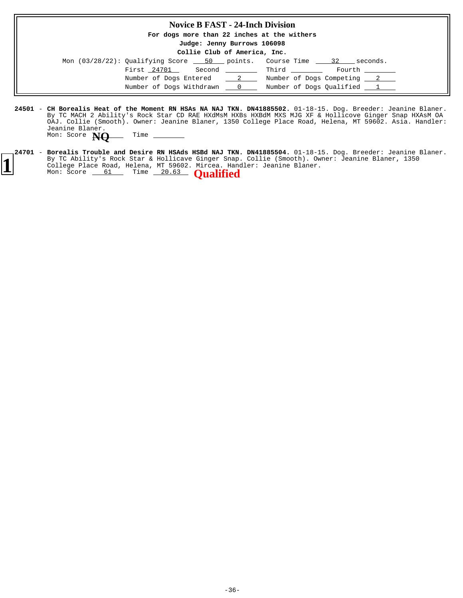### **Novice B FAST - 24-Inch Division**

**For dogs more than 22 inches at the withers**

**Judge: Jenny Burrows 106098**

|  |  | Collie Club of America, Inc. |  |
|--|--|------------------------------|--|
|--|--|------------------------------|--|

| Mon $(03/28/22)$ : Qualifying Score $\underline{\hspace{1cm}}$ 50 points. Course Time |                                                                                                                                                                                                                                                                                                  |                              | 32<br>seconds.             |
|---------------------------------------------------------------------------------------|--------------------------------------------------------------------------------------------------------------------------------------------------------------------------------------------------------------------------------------------------------------------------------------------------|------------------------------|----------------------------|
| First 24701                                                                           | Second                                                                                                                                                                                                                                                                                           | <b>Example 1</b> Third Third | Fourth                     |
| Number of Dogs Entered                                                                | $\sim$ 2                                                                                                                                                                                                                                                                                         |                              | Number of Dogs Competing 2 |
| Number of Dogs Withdrawn                                                              | $\mathbf{0}$ and $\mathbf{0}$ and $\mathbf{0}$ and $\mathbf{0}$ and $\mathbf{0}$ and $\mathbf{0}$ and $\mathbf{0}$ and $\mathbf{0}$ and $\mathbf{0}$ and $\mathbf{0}$ and $\mathbf{0}$ and $\mathbf{0}$ and $\mathbf{0}$ and $\mathbf{0}$ and $\mathbf{0}$ and $\mathbf{0}$ and $\mathbf{0}$ and |                              | Number of Dogs Oualified 1 |

**24501 - CH Borealis Heat of the Moment RN HSAs NA NAJ TKN. DN41885502.** 01-18-15. Dog. Breeder: Jeanine Blaner. By TC MACH 2 Ability's Rock Star CD RAE HXdMsM HXBs HXBdM MXS MJG XF & Hollicove Ginger Snap HXAsM OA OAJ. Collie (Smooth). Owner: Jeanine Blaner, 1350 College Place Road, Helena, MT 59602. Asia. Handler: Jeanine Blaner. Mon: Score **NQ** Time \_

**24701 - Borealis Trouble and Desire RN HSAds HSBd NAJ TKN. DN41885504.** 01-18-15. Dog. Breeder: Jeanine Blaner. By TC Ability's Rock Star & Hollicave Ginger Snap. Collie (Smooth). Owner: Jeanine Blaner, 1350 College Place Road, Helena, MT 59602. Mircea. Handler: Jeanine Blaner. **Borealis Trouble and Desire RN HSAds HSBd NAJ TKN. DN41885504.** College Place Road, neither, n. 33331.<br>Mon: Score 61 Time 20.63 **Qualified**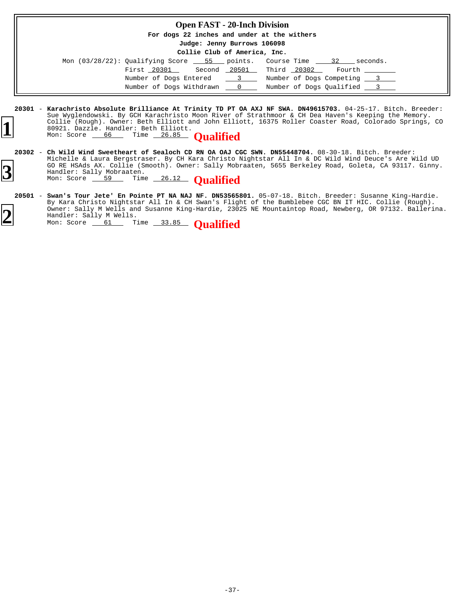| <b>Open FAST - 20-Inch Division</b>                                          |                              |
|------------------------------------------------------------------------------|------------------------------|
| For dogs 22 inches and under at the withers                                  |                              |
| Judge: Jenny Burrows 106098                                                  |                              |
| Collie Club of America, Inc.                                                 |                              |
| Mon $(03/28/22)$ : Qualifying Score $-55$ points. Course Time $-32$ seconds. |                              |
| First 20301 Second 20501 Third 20302 Fourth                                  |                              |
| Number of Dogs Entered                                                       | 3 Number of Dogs Competing 3 |
| Number of Dogs Withdrawn 0                                                   | Number of Dogs Oualified 3   |

**20301** - 04-25-17. Bitch. Breeder: **Karachristo Absolute Brilliance At Trinity TD PT OA AXJ NF SWA. DN49615703.** Sue Wyglendowski. By GCH Karachristo Moon River of Strathmoor & CH Dea Haven's Keeping the Memory. Collie (Rough). Owner: Beth Elliott and John Elliott, 16375 Roller Coaster Road, Colorado Springs, CO 80921. Dazzle. Handler: Beth Elliott. **1** Collie (Rough). Owner: Beth Elliott and John Elliot<br>
80921. Dazzle. Handler: Beth Elliott.<br>
Mon: Score 66 Time 26.85 **Qualified** 

- 20302 Ch Wild Wind Sweetheart of Sealoch CD RN OA OAJ CGC SWN. DN55448704. 08-30-18. Bitch. Breeder: Michelle & Laura Bergstraser. By CH Kara Christo Nightstar All In & DC Wild Wind Deuce's Are Wild UD GO RE HSAds AX. Collie (Smooth). Owner: Sally Mobraaten, 5655 Berkeley Road, Goleta, CA 93117. Ginny. Handler: Sally Mobraaten. **3** GO RE HSAds AX. Collie (Smooth). Owner: Sally Mobr<br>
Mon: Score 59 Time 26.12 **Qualified**
- **20501 Swan's Tour Jete' En Pointe PT NA NAJ NF. DN53565801.** 05-07-18. Bitch. Breeder: Susanne King-Hardie. By Kara Christo Nightstar All In & CH Swan's Flight of the Bumblebee CGC BN IT HIC. Collie (Rough). Owner: Sally M Wells and Susanne King-Hardie, 23025 NE Mountaintop Road, Newberg, OR 97132. Ballerina. Handler: Sally M Wells. **Swan's Tour Jete' En Pointe PT NA NAJ NF. DN53565801.** Owner: Sally M Wells and Susanne King-Hardie, 2302<br>
Handler: Sally M Wells.<br>
Mon: Score 61 Time 33.85 **Qualified**

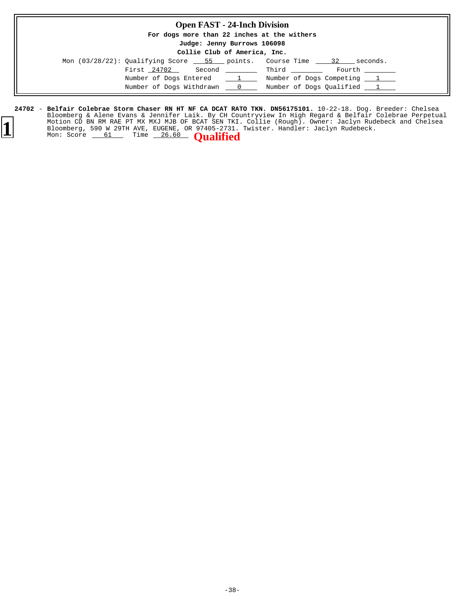## **Open FAST - 24-Inch Division**

**For dogs more than 22 inches at the withers**

**Judge: Jenny Burrows 106098 Collie Club of America, Inc.**

| COILLE CIUD OI AMEIICA, INC.                                                 |                                  |              |                                  |  |  |  |
|------------------------------------------------------------------------------|----------------------------------|--------------|----------------------------------|--|--|--|
| Mon $(03/28/22)$ : Qualifying Score $-55$ points. Course Time $-32$ seconds. |                                  |              |                                  |  |  |  |
| First 24702                                                                  |                                  | Second Third | Fourth ________                  |  |  |  |
| Number of Dogs Entered                                                       | $\frac{1}{\sqrt{1-\frac{1}{2}}}$ |              | Number of Dogs Competing 1       |  |  |  |
| Number of Dogs Withdrawn 0                                                   |                                  |              | Number of Dogs Qualified _______ |  |  |  |

**<sup>24702 -</sup> Belfair Colebrae Storm Chaser RN HT NF CA DCAT RATO TKN. DN56175101.** 10-22-18. Dog. Breeder: Chelsea Bloomberg & Alene Evans & Jennifer Laik. By CH Countryview In High Regard & Belfair Colebrae Perpetual Motion CD BN RM RAE PT MX MXJ MJB OF BCAT SEN TKI. Collie (Rough). Owner: Jaclyn Rudebeck and Chelsea Bloomberg, 590 W 29TH AVE, EUGENE, OR 97405-2731. Twister. Handler: Jaclyn Rudebeck. **Belfair Colebrae Storm Chaser RN HT NF CA DCAT RATO TKN. DN56175101.** Motion CD BN RM RAE PT MX MXJ MJB OF BCAT SEN TKI.<br>Bloomberg, 590 W 29TH AVE, EUGENE, OR 97405-2731.<br>Mon: Score 61 Time 26.60 **Qualified** 

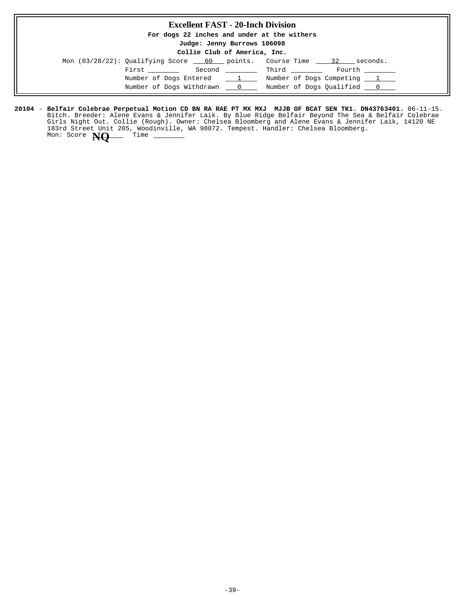### **Excellent FAST - 20-Inch Division**

**For dogs 22 inches and under at the withers**

**Judge: Jenny Burrows 106098**

**Collie Club of America, Inc.**

| Mon $(03/28/22)$ : Qualifying Score 60 points. Course Time | 32<br>seconds.             |
|------------------------------------------------------------|----------------------------|
| First ________<br>Second ________                          | Third<br>Fourth            |
| Number of Dogs Entered<br>1                                | Number of Dogs Competing 1 |
| Number of Dogs Withdrawn 0                                 | Number of Dogs Oualified 0 |

20104 – Belfair Colebrae Perpetual Motion CD BN RA RAE PT MX MXJ MJJB OF BCAT SEN TK1. DN43763401. 06-11-15. Bitch. Breeder: Alene Evans & Jennifer Laik. By Blue Ridge Belfair Beyond The Sea & Belfair Colebrae Girls Night Out. Collie (Rough). Owner: Chelsea Bloomberg and Alene Evans & Jennifer Laik, 14120 NE 183rd Street Unit 205, Woodinville, WA 98072. Tempest. Handler: Chelsea Bloomberg. Mon: Score **NO** Time \_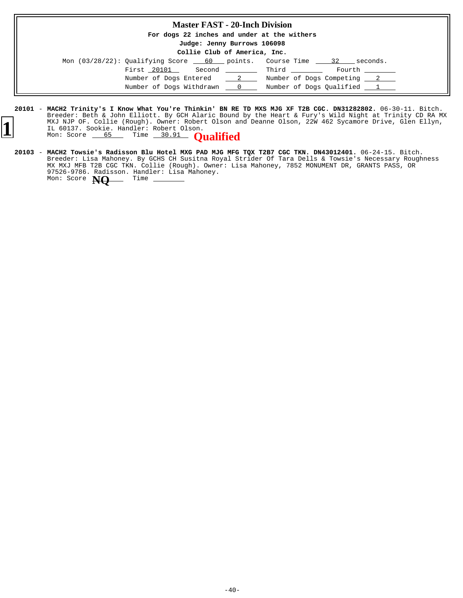#### **Master FAST - 20-Inch Division**

**For dogs 22 inches and under at the withers**

**Judge: Jenny Burrows 106098**

| Mon $(03/28/22)$ : Qualifying Score 60 points. Course Time 32 |                 |       | seconds.                   |
|---------------------------------------------------------------|-----------------|-------|----------------------------|
| First 20101<br>Second                                         |                 | Third | Fourth _______             |
| Number of Dogs Entered                                        | $\frac{2}{2}$   |       | Number of Dogs Competing 2 |
| Number of Dogs Withdrawn                                      | $\sim$ 0 $\sim$ |       | Number of Dogs Qualified 1 |

- **20101** 06-30-11. Bitch. **MACH2 Trinity's I Know What You're Thinkin' BN RE TD MXS MJG XF T2B CGC. DN31282802.** Breeder: Beth & John Elliott. By GCH Alaric Bound by the Heart & Fury's Wild Night at Trinity CD RA MX MXJ NJP OF. Collie (Rough). Owner: Robert Olson and Deanne Olson, 22W 462 Sycamore Drive, Glen Ellyn, IL 60137. Sookie. Handler: Robert Olson. MAJ NJP OF. Collie (Rough). Owner: Robert Olson and IL 60137. Sookie. Handler: Robert Olson.<br>Mon: Score 65 Time 30.91 **Qualified** 
	- **20103** 06-24-15. Bitch. Breeder: Lisa Mahoney. By GCHS CH Susitna Royal Strider Of Tara Dells & Towsie's Necessary Roughness MX MXJ MFB T2B CGC TKN. Collie (Rough). Owner: Lisa Mahoney, 7852 MONUMENT DR, GRANTS PASS, OR 97526-9786. Radisson. Handler: Lisa Mahoney. **MACH2 Towsie's Radisson Blu Hotel MXG PAD MJG MFG TQX T2B7 CGC TKN. DN43012401.** Mon: Score **NQ** Time -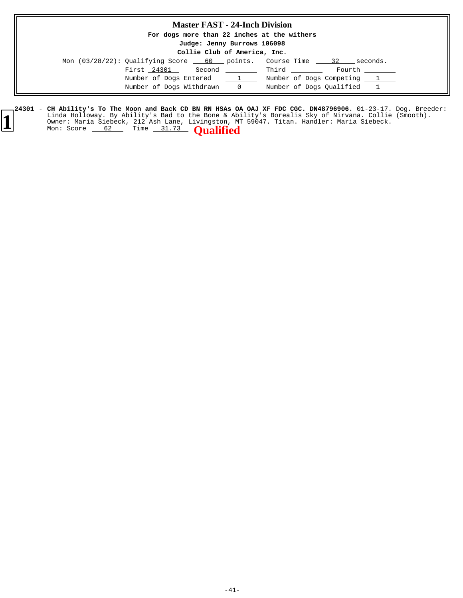### **Master FAST - 24-Inch Division**

**For dogs more than 22 inches at the withers**

**Judge: Jenny Burrows 106098**

### **Collie Club of America, Inc.**

| Mon (03/28/22): Qualifying Score 60 points. Course Time 32 |                             | seconds.                               |
|------------------------------------------------------------|-----------------------------|----------------------------------------|
| First 24301<br>Second                                      |                             | Fourth<br><b>Example 1</b> Third Third |
| Number of Dogs Entered                                     | $\sim$ $\sim$ $\sim$ $\sim$ | Number of Dogs Competing 1             |
| Number of Dogs Withdrawn                                   | $\overline{0}$              | Number of Dogs Qualified 1             |

#### 24301 – **CH Ability's To The Moon and Back CD BN RN HSAs OA OAJ XF FDC CGC. DN48796906.** 01-23-17. Dog. Breeder: Linda Holloway. By Ability's Bad to the Bone & Ability's Borealis Sky of Nirvana. Collie (Smooth). Owner: Maria Siebeck, 212 Ash Lane, Livingston, MT 59047. Titan. Handler: Maria Siebeck. **CH Ability's To The Moon and Back CD BN RN HSAs OA OAJ XF FDC CGC. DN48796906. 1** Elinda Holloway. By Ability's Bad to the Bone & Ab<br>
Owner: Maria Siebeck, 212 Ash Lane, Livingston, M<br>
Mon: Score 62 Time 31.73 **Qualified**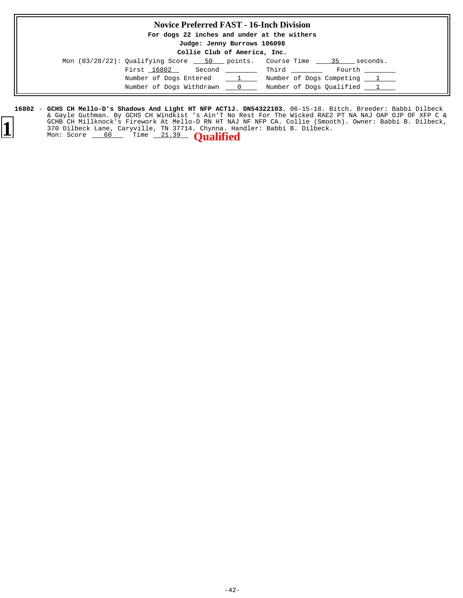### **Novice Preferred FAST - 16-Inch Division**

**For dogs 22 inches and under at the withers**

#### **Judge: Jenny Burrows 106098 Collie Club of America, Inc.**

| $\frac{1}{2}$                         |                                                                                 |  |  |
|---------------------------------------|---------------------------------------------------------------------------------|--|--|
|                                       | Mon $(03/28/22)$ : Qualifying Score 50 points. Course Time $\_\_\_$ 35 seconds. |  |  |
| First 16802 Second Third              | Fourth                                                                          |  |  |
| Number of Dogs Entered<br>$1 \quad 1$ | Number of Dogs Competing 1                                                      |  |  |
| Number of Dogs Withdrawn 0            | Number of Dogs Qualified 1                                                      |  |  |

16802 - GCHS CH Mello-D's Shadows And Light HT NFP ACT1J. DN54322103. 06-15-18. Bitch. Breeder: Babbi Dilbeck & Gayle Guthman. By GCHS CH Windkist 's Ain'T No Rest For The Wicked RAE2 PT NA NAJ OAP OJP OF XFP C & GCHB CH Millknock's Firework At Mello-D RN HT NAJ NF NFP CA. Collie (Smooth). Owner: Babbi B. Dilbeck, 370 Dilbeck Lane, Caryville, TN 37714. Chynna. Handler: Babbi B. Dilbeck. **1** GCHB CH Millknock's Firework At Mello-D RN HT NAJ<br>370 Dilbeck Lane, Caryville, TN 37714. Chynna. Hal<br>Mon: Score 60 Time 21.39 **Qualified**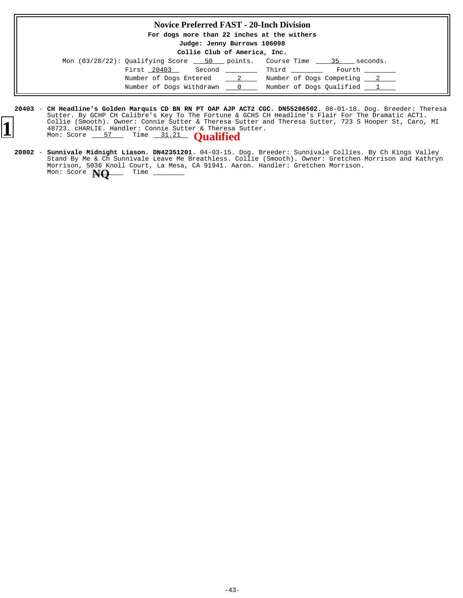## **Novice Preferred FAST - 20-Inch Division**

**For dogs more than 22 inches at the withers**

**Judge: Jenny Burrows 106098 Collie Club of America, Inc.**

| COILLE CILD OF AMELICA, INC. |                                                                                                                     |               |                                                                                                                |                            |
|------------------------------|---------------------------------------------------------------------------------------------------------------------|---------------|----------------------------------------------------------------------------------------------------------------|----------------------------|
|                              | Mon $(03/28/22)$ : Qualifying Score $\underline{\hspace{1cm}}$ 50 points. Course Time $\underline{\hspace{1cm}}$ 35 |               |                                                                                                                | seconds.                   |
|                              | First 20403<br>Second                                                                                               |               | and the state of the state of the state of the state of the state of the state of the state of the state of th | Fourth                     |
|                              | Number of Dogs Entered                                                                                              | $\frac{2}{2}$ |                                                                                                                | Number of Dogs Competing 2 |
|                              | Number of Dogs Withdrawn                                                                                            |               |                                                                                                                | Number of Dogs Qualified 1 |

- **20403** 08-01-18. Dog. Breeder: Theresa **CH Headline's Golden Marquis CD BN RN PT OAP AJP ACT2 CGC. DN55206502.** Sutter. By GCHP CH Calibre's Key To The Fortune & GCHS CH Headline's Flair For The Dramatic ACT1. Collie (Smooth). Owner: Connie Sutter & Theresa Sutter and Theresa Sutter, 723 S Hooper St, Caro, MI<br>18723. cHARLIE. Handler: Connie Sutter & Theresa Sutter.<br>1887 Mon: Score <u>57 Time 31.21</u> Qualified
	- **20802 Sunnivale Midnight Liason. DN42351201.** 04-03-15. Dog. Breeder: Sunnivale Collies. By Ch Kings Valley Stand By Me & Ch Sunnivale Leave Me Breathless. Collie (Smooth). Owner: Gretchen Morrison and Kathryn Morrison, 5036 Knoll Court, La Mesa, CA 91941. Aaron. Handler: Gretchen Morrison.<br>Mon: Score **New** Time \_\_\_\_\_\_\_ **Sunnivale Midnight Liason. DN42351201.** Mon: Score **NQ**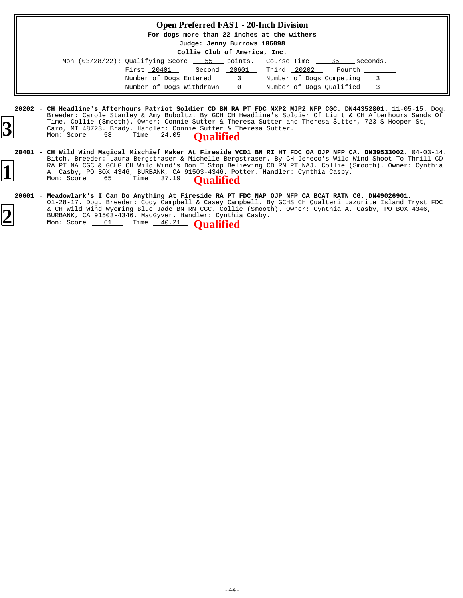#### **Open Preferred FAST - 20-Inch Division**

**For dogs more than 22 inches at the withers**

**Judge: Jenny Burrows 106098 Collie Club of America, Inc.**

| COILLE CIUD OI AMEIICA, INC. |                                                                                                                              |              |             |                            |
|------------------------------|------------------------------------------------------------------------------------------------------------------------------|--------------|-------------|----------------------------|
|                              | Mon $(03/28/22)$ : Qualifying Score $\underline{\hspace{1cm}}$ 55 points. Course Time $\underline{\hspace{1cm}}$ 35 seconds. |              |             |                            |
|                              | First 20401                                                                                                                  | Second 20601 | Third 20202 | Fourth                     |
|                              | Number of Dogs Entered 3                                                                                                     |              |             | Number of Dogs Competing 3 |
|                              | Number of Dogs Withdrawn 0                                                                                                   |              |             | Number of Dogs Oualified 3 |

**<sup>20202</sup>** - 11-05-15. Dog. **CH Headline's Afterhours Patriot Soldier CD BN RA PT FDC MXP2 MJP2 NFP CGC. DN44352801.** Breeder: Carole Stanley & Amy Buboltz. By GCH CH Headline's Soldier Of Light & CH Afterhours Sands Of Time. Collie (Smooth). Owner: Connie Sutter & Theresa Sutter and Theresa Sutter, 723 S Hooper St, Caro, MI 48723. Brady. Handler: Connie Sutter & Theresa Sutter. **3** Time. Collie (Smooth). Owner: Connie Sutter & The<br>Caro, MI 48723. Brady. Handler: Connie Sutter & Ti<br>Mon: Score 58 Time 24.05 **Qualified** 

#### **20601** - 01-28-17. Dog. Breeder: Cody Campbell & Casey Campbell. By GCHS CH Qualteri Lazurite Island Tryst FDC & CH Wild Wind Wyoming Blue Jade BN RN CGC. Collie (Smooth). Owner: Cynthia A. Casby, PO BOX 4346, BURBANK, CA 91503-4346. MacGyver. Handler: Cynthia Casby. **Meadowlark's I Can Do Anything At Fireside RA PT FDC NAP OJP NFP CA BCAT RATN CG. DN49026901. 2** WE WE WALLET ME ARE STATED TO ME THE MONEY OF THE MONEY OF MELTIMORY OF MELTIMORY OF MELTIMORY SCOTE: Cynthis<br>
Mon: Score <u>61</u> Time 40.21 **Qualified**



**<sup>20401</sup>** - 04-03-14. **CH Wild Wind Magical Mischief Maker At Fireside VCD1 BN RI HT FDC OA OJP NFP CA. DN39533002.** Bitch. Breeder: Laura Bergstraser & Michelle Bergstraser. By CH Jereco's Wild Wind Shoot To Thrill CD RA PT NA CGC & GCHG CH Wild Wind's Don'T Stop Believing CD RN PT NAJ. Collie (Smooth). Owner: Cynthia A. Casby, PO BOX 4346, BURBANK, CA 91503-4346. Potter. Handler: Cynthia Casby.<br>
Mon: Score 65 Time 37.19 **Qualified**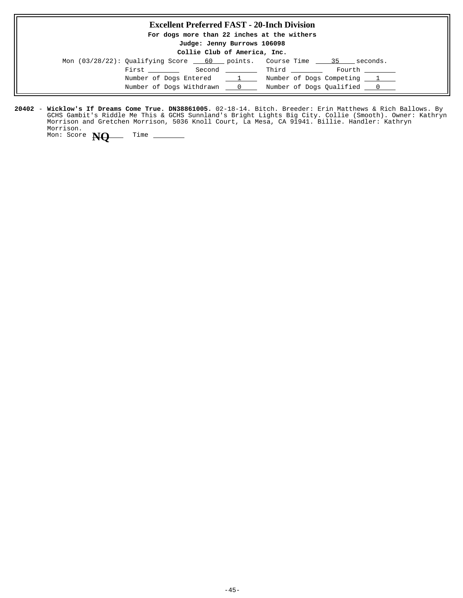## **Excellent Preferred FAST - 20-Inch Division For dogs more than 22 inches at the withers Judge: Jenny Burrows 106098 Collie Club of America, Inc.** Mon  $(03/28/22)$ : Qualifying Score 60 points. Course Time  $\frac{35}{100}$  seconds.  $\begin{tabular}{llllll} \multicolumn{2}{l}{{\bf First}} & \multicolumn{2}{l}{\bf Second} & \multicolumn{2}{l}{\bf{Third}} & \multicolumn{2}{l}{\bf Fourth} \\ \multicolumn{2}{l}{\bf First} & \multicolumn{2}{l}{\bf Second} & \multicolumn{2}{l}{\bf Third} & \multicolumn{2}{l}{\bf更} \\ \multicolumn{2}{l}{\bf First} & \multicolumn{2}{l}{\bf Sound} & \multicolumn{2}{l}{\bf Third} & \multicolumn{2}{l}{\bf Fourth} \\ \multicolumn{2}{l}{\bf (i)} & \multicolumn{2}{l}{\bf (ii)} & \multicolumn{2}{l}{\$ Number of Dogs Entered  $1 \t$  Number of Dogs Competing  $1 \t$ Number of Dogs Withdrawn  $\qquad 0$  Number of Dogs Qualified  $\qquad 0$

**20402 - Wicklow's If Dreams Come True. DN38861005.** 02-18-14. Bitch. Breeder: Erin Matthews & Rich Ballows. By GCHS Gambit's Riddle Me This & GCHS Sunnland's Bright Lights Big City. Collie (Smooth). Owner: Kathryn Morrison and Gretchen Morrison, 5036 Knoll Court, La Mesa, CA 91941. Billie. Handler: Kathryn Morrison.

Mon: Score **NO** Time \_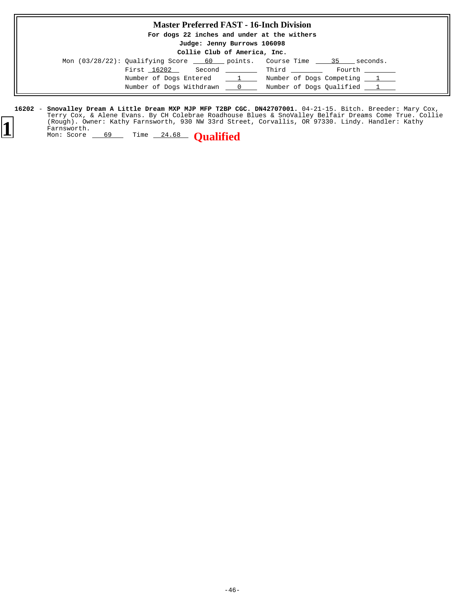### **Master Preferred FAST - 16-Inch Division**

**For dogs 22 inches and under at the withers**

**Judge: Jenny Burrows 106098 Collie Club of America, Inc.**

| COITTE CIUD OF AMERICA, INC. |                                                                     |                                                                                                                                                                                                                                 |       |                            |  |
|------------------------------|---------------------------------------------------------------------|---------------------------------------------------------------------------------------------------------------------------------------------------------------------------------------------------------------------------------|-------|----------------------------|--|
|                              | Mon (03/28/22): Qualifying Score 60 points. Course Time 35 seconds. |                                                                                                                                                                                                                                 |       |                            |  |
|                              | First 16202                                                         | Second and the second second second second second second second second second second second second second second second second second second second second second second second second second second second second second secon | Third | Fourth                     |  |
|                              | Number of Dogs Entered 1                                            |                                                                                                                                                                                                                                 |       | Number of Dogs Competing 1 |  |
|                              | Number of Dogs Withdrawn                                            | $\mathbf{r} = \mathbf{0}$                                                                                                                                                                                                       |       | Number of Dogs Qualified 1 |  |

16202 - Snovalley Dream A Little Dream MXP MJP MFP T2BP CGC. DN42707001. 04-21-15. Bitch. Breeder: Mary Cox, Terry Cox, & Alene Evans. By CH Colebrae Roadhouse Blues & SnoValley Belfair Dreams Come True. Collie (Rough). Owner: Kathy Farnsworth, 930 NW 33rd Street, Corvallis, OR 97330. Lindy. Handler: Kathy Farnsworth. **Snovalley Dream A Little Dream MXP MJP MFP T2BP CGC. DN42707001. 1** (Rough). Owner: Kathy Farnsworth, 930 NW 33rd Stre<br>
Farnsworth.<br>
Mon: Score 69 Time 24.68 **Qualified**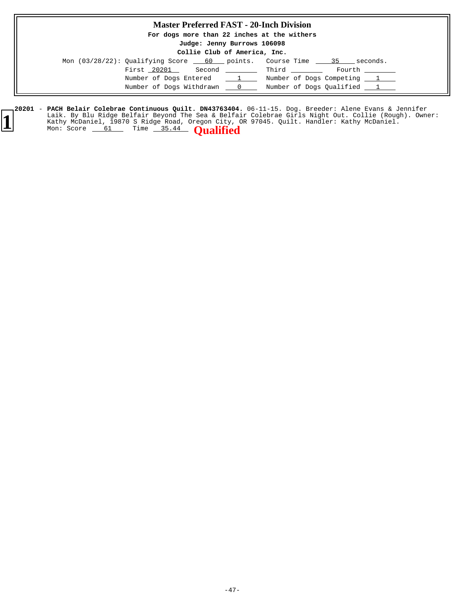## **Master Preferred FAST - 20-Inch Division**

**For dogs more than 22 inches at the withers**

**Judge: Jenny Burrows 106098**

|  |  |  | Collie Club of America, Inc. |  |
|--|--|--|------------------------------|--|
|--|--|--|------------------------------|--|

| Mon $(03/28/22)$ : Qualifying Score $\_\_60$ points. |                                  | Course Time<br>seconds.<br>- 35 |
|------------------------------------------------------|----------------------------------|---------------------------------|
| First 20201<br>Second                                |                                  | Third<br>Fourth                 |
| Number of Dogs Entered                               | $\frac{1}{\sqrt{1-\frac{1}{2}}}$ | Number of Dogs Competing 1      |
| Number of Dogs Withdrawn                             | $\overline{0}$                   | Number of Dogs Qualified 1      |

**20201 - PACH Belair Colebrae Continuous Quilt. DN43763404.** 06-11-15. Dog. Breeder: Alene Evans & Jennifer Laik. By Blu Ridge Belfair Beyond The Sea & Belfair Colebrae Girls Night Out. Collie (Rough). Owner: Laik. By Blu Ridge Belfair Beyond The Sea & Belfair Colebrae Girls Night Out. Collie (Rough Kathy McDaniel, 19870 S Ridge Road, Oregon City, OR 97045. Quilt. Handler: Kathy McDaniel.<br>Mon: Score 61 Time 35.44 **Qualified**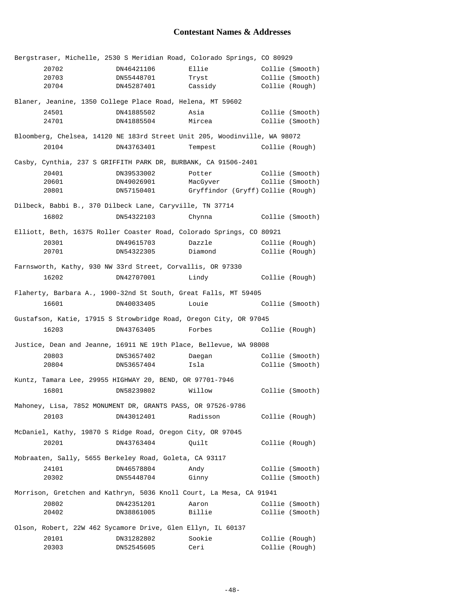# **Contestant Names & Addresses**

|                                                        | Bergstraser, Michelle, 2530 S Meridian Road, Colorado Springs, CO 80929   |            |                                   |                 |  |
|--------------------------------------------------------|---------------------------------------------------------------------------|------------|-----------------------------------|-----------------|--|
|                                                        | 20702                                                                     | DN46421106 | Ellie                             | Collie (Smooth) |  |
|                                                        | 20703                                                                     | DN55448701 | Tryst                             | Collie (Smooth) |  |
|                                                        | 20704                                                                     | DN45287401 | Cassidy                           | Collie (Rough)  |  |
|                                                        | Blaner, Jeanine, 1350 College Place Road, Helena, MT 59602                |            |                                   |                 |  |
|                                                        | 24501                                                                     | DN41885502 | Asia                              | Collie (Smooth) |  |
|                                                        | 24701                                                                     | DN41885504 | Mircea                            | Collie (Smooth) |  |
|                                                        | Bloomberg, Chelsea, 14120 NE 183rd Street Unit 205, Woodinville, WA 98072 |            |                                   |                 |  |
|                                                        | 20104                                                                     |            | DN43763401 Tempest Collie (Rough) |                 |  |
|                                                        | Casby, Cynthia, 237 S GRIFFITH PARK DR, BURBANK, CA 91506-2401            |            |                                   |                 |  |
|                                                        | 20401                                                                     | DN39533002 | Potter                            | Collie (Smooth) |  |
|                                                        | 20601                                                                     | DN49026901 | MacGyver                          | Collie (Smooth) |  |
|                                                        | 20801                                                                     | DN57150401 | Gryffindor (Gryff) Collie (Rough) |                 |  |
|                                                        | Dilbeck, Babbi B., 370 Dilbeck Lane, Caryville, TN 37714                  |            |                                   |                 |  |
|                                                        | 16802                                                                     | DN54322103 | Chynna                            | Collie (Smooth) |  |
|                                                        | Elliott, Beth, 16375 Roller Coaster Road, Colorado Springs, CO 80921      |            |                                   |                 |  |
|                                                        | 20301                                                                     | DN49615703 | Dazzle                            | Collie (Rough)  |  |
|                                                        | 20701                                                                     | DN54322305 | Diamond                           | Collie (Rough)  |  |
|                                                        | Farnsworth, Kathy, 930 NW 33rd Street, Corvallis, OR 97330                |            |                                   |                 |  |
|                                                        | 16202                                                                     | DN42707001 | Lindy                             | Collie (Rough)  |  |
|                                                        | Flaherty, Barbara A., 1900-32nd St South, Great Falls, MT 59405           |            |                                   |                 |  |
|                                                        | 16601                                                                     | DN40033405 | Louie                             | Collie (Smooth) |  |
|                                                        | Gustafson, Katie, 17915 S Strowbridge Road, Oregon City, OR 97045         |            |                                   |                 |  |
|                                                        | 16203                                                                     | DN43763405 | Forbes                            | Collie (Rough)  |  |
|                                                        | Justice, Dean and Jeanne, 16911 NE 19th Place, Bellevue, WA 98008         |            |                                   |                 |  |
|                                                        | 20803                                                                     | DN53657402 | Daegan                            | Collie (Smooth) |  |
|                                                        | 20804                                                                     | DN53657404 | Isla                              | Collie (Smooth) |  |
|                                                        | Kuntz, Tamara Lee, 29955 HIGHWAY 20, BEND, OR 97701-7946                  |            |                                   |                 |  |
|                                                        | 16801 200                                                                 |            | DN58239802 Willow                 | Collie (Smooth) |  |
|                                                        | Mahoney, Lisa, 7852 MONUMENT DR, GRANTS PASS, OR 97526-9786               |            |                                   |                 |  |
|                                                        | 20103                                                                     | DN43012401 | Radisson                          | Collie (Rough)  |  |
|                                                        | McDaniel, Kathy, 19870 S Ridge Road, Oregon City, OR 97045                |            |                                   |                 |  |
|                                                        | 20201                                                                     | DN43763404 | Quilt                             | Collie (Rough)  |  |
| Mobraaten, Sally, 5655 Berkeley Road, Goleta, CA 93117 |                                                                           |            |                                   |                 |  |
|                                                        | 24101                                                                     | DN46578804 | Andy                              | Collie (Smooth) |  |
|                                                        | 20302                                                                     | DN55448704 | Ginny                             | Collie (Smooth) |  |
|                                                        | Morrison, Gretchen and Kathryn, 5036 Knoll Court, La Mesa, CA 91941       |            |                                   |                 |  |
|                                                        | 20802                                                                     | DN42351201 | Aaron                             | Collie (Smooth) |  |
|                                                        | 20402                                                                     | DN38861005 | Billie                            | Collie (Smooth) |  |
|                                                        | Olson, Robert, 22W 462 Sycamore Drive, Glen Ellyn, IL 60137               |            |                                   |                 |  |
|                                                        | 20101                                                                     | DN31282802 | Sookie                            | Collie (Rough)  |  |
|                                                        | 20303                                                                     | DN52545605 | Ceri                              | Collie (Rough)  |  |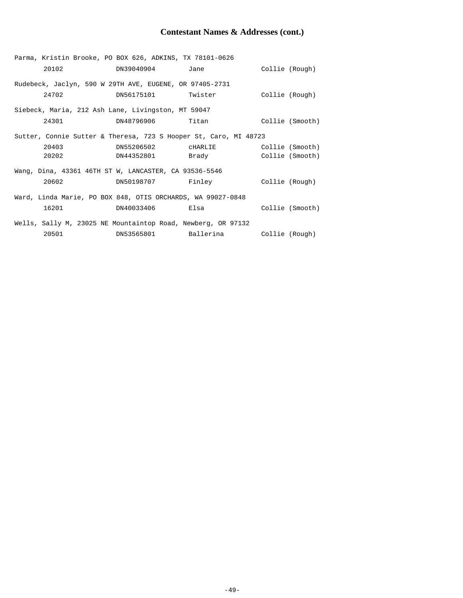# **Contestant Names & Addresses (cont.)**

|                                                             | Parma, Kristin Brooke, PO BOX 626, ADKINS, TX 78101-0626         |                                  |                                                                                                     |                 |  |
|-------------------------------------------------------------|------------------------------------------------------------------|----------------------------------|-----------------------------------------------------------------------------------------------------|-----------------|--|
|                                                             |                                                                  | 20102 DN39040904                 | Jane                                                                                                | Collie (Rough)  |  |
|                                                             | Rudebeck, Jaclyn, 590 W 29TH AVE, EUGENE, OR 97405-2731          |                                  |                                                                                                     |                 |  |
|                                                             |                                                                  | 24702 DN56175101 Twister         |                                                                                                     | Collie (Rough)  |  |
|                                                             | Siebeck, Maria, 212 Ash Lane, Livingston, MT 59047               |                                  |                                                                                                     |                 |  |
|                                                             | 24301                                                            | DN48796906 Titan Collie (Smooth) |                                                                                                     |                 |  |
|                                                             | Sutter, Connie Sutter & Theresa, 723 S Hooper St, Caro, MI 48723 |                                  |                                                                                                     |                 |  |
|                                                             | 20403                                                            |                                  |                                                                                                     |                 |  |
|                                                             | 20202                                                            | DN44352801                       | Brady and the state of the state of the state of the state of the state of the state of the state o | Collie (Smooth) |  |
|                                                             | Wang, Dina, 43361 46TH ST W, LANCASTER, CA 93536-5546            |                                  |                                                                                                     |                 |  |
|                                                             | 20602                                                            | DN50198707 Finley                |                                                                                                     | Collie (Rough)  |  |
| Ward, Linda Marie, PO BOX 848, OTIS ORCHARDS, WA 99027-0848 |                                                                  |                                  |                                                                                                     |                 |  |
|                                                             | 16201                                                            | DN40033406 Elsa                  |                                                                                                     | Collie (Smooth) |  |
|                                                             | Wells, Sally M, 23025 NE Mountaintop Road, Newberg, OR 97132     |                                  |                                                                                                     |                 |  |
|                                                             |                                                                  | 20501 DN53565801 Ballerina       |                                                                                                     | Collie (Rough)  |  |